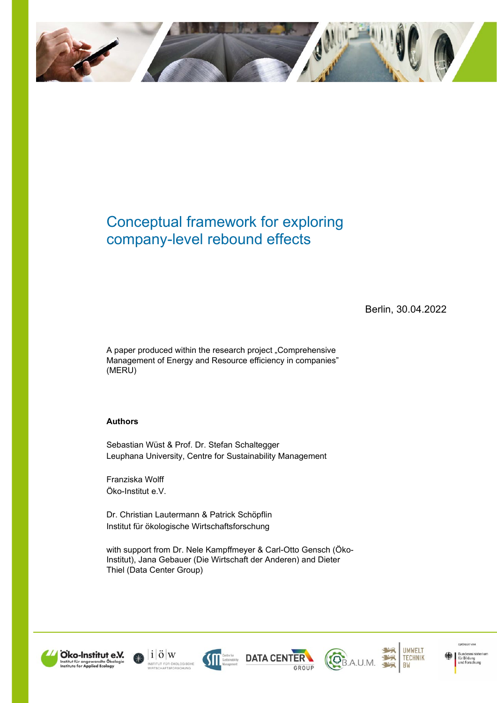

# Conceptual framework for exploring company-level rebound effects

Berlin, 30.04.2022

A paper produced within the research project "Comprehensive Management of Energy and Resource efficiency in companies" (MERU)

#### **Authors**

Sebastian Wüst & Prof. Dr. Stefan Schaltegger Leuphana University, Centre for Sustainability Management

Franziska Wolff Öko-Institut e.V.

Dr. Christian Lautermann & Patrick Schöpflin Institut für ökologische Wirtschaftsforschung

with support from Dr. Nele Kampffmeyer & Carl-Otto Gensch (Öko-Institut), Jana Gebauer (Die Wirtschaft der Anderen) and Dieter Thiel (Data Center Group)













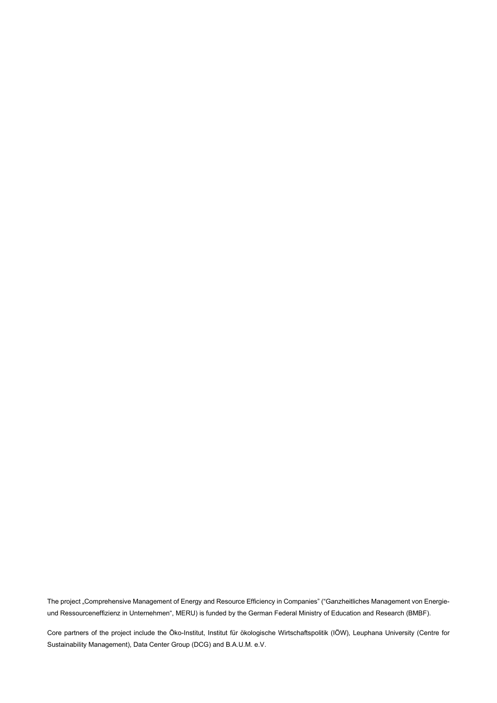The project "Comprehensive Management of Energy and Resource Efficiency in Companies" ("Ganzheitliches Management von Energieund Ressourceneffizienz in Unternehmen", MERU) is funded by the German Federal Ministry of Education and Research (BMBF).

Core partners of the project include the Öko-Institut, Institut für ökologische Wirtschaftspolitik (IÖW), Leuphana University (Centre for Sustainability Management), Data Center Group (DCG) and B.A.U.M. e.V.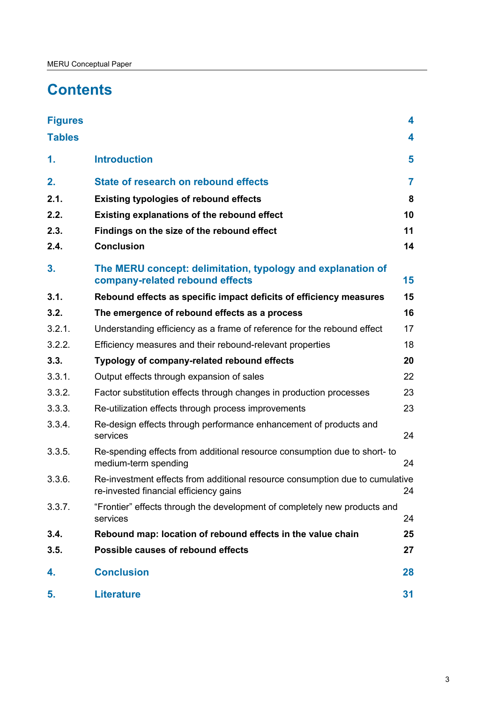# **Contents**

| <b>Figures</b> |                                                                                                                              | 4              |  |  |
|----------------|------------------------------------------------------------------------------------------------------------------------------|----------------|--|--|
| <b>Tables</b>  |                                                                                                                              | 4              |  |  |
| 1.             | <b>Introduction</b>                                                                                                          | 5              |  |  |
| 2.             | <b>State of research on rebound effects</b>                                                                                  | $\overline{7}$ |  |  |
| 2.1.           | <b>Existing typologies of rebound effects</b>                                                                                | 8              |  |  |
| 2.2.           | <b>Existing explanations of the rebound effect</b>                                                                           | 10             |  |  |
| 2.3.           | Findings on the size of the rebound effect                                                                                   | 11             |  |  |
| 2.4.           | <b>Conclusion</b>                                                                                                            | 14             |  |  |
| 3.             | The MERU concept: delimitation, typology and explanation of<br>company-related rebound effects                               | 15             |  |  |
| 3.1.           | Rebound effects as specific impact deficits of efficiency measures                                                           | 15             |  |  |
| 3.2.           | The emergence of rebound effects as a process                                                                                | 16             |  |  |
| 3.2.1.         | Understanding efficiency as a frame of reference for the rebound effect                                                      | 17             |  |  |
| 3.2.2.         | Efficiency measures and their rebound-relevant properties                                                                    | 18             |  |  |
| 3.3.           | Typology of company-related rebound effects                                                                                  | 20             |  |  |
| 3.3.1.         | Output effects through expansion of sales                                                                                    | 22             |  |  |
| 3.3.2.         | Factor substitution effects through changes in production processes                                                          | 23             |  |  |
| 3.3.3.         | Re-utilization effects through process improvements                                                                          | 23             |  |  |
| 3.3.4.         | Re-design effects through performance enhancement of products and<br>services                                                | 24             |  |  |
| 3.3.5.         | Re-spending effects from additional resource consumption due to short- to<br>medium-term spending                            | 24             |  |  |
| 3.3.6.         | Re-investment effects from additional resource consumption due to cumulative<br>re-invested financial efficiency gains<br>24 |                |  |  |
| 3.3.7.         | "Frontier" effects through the development of completely new products and<br>services                                        | 24             |  |  |
| 3.4.           | Rebound map: location of rebound effects in the value chain                                                                  | 25             |  |  |
| 3.5.           | Possible causes of rebound effects                                                                                           | 27             |  |  |
| 4.             | <b>Conclusion</b>                                                                                                            | 28             |  |  |
| 5.             | <b>Literature</b>                                                                                                            | 31             |  |  |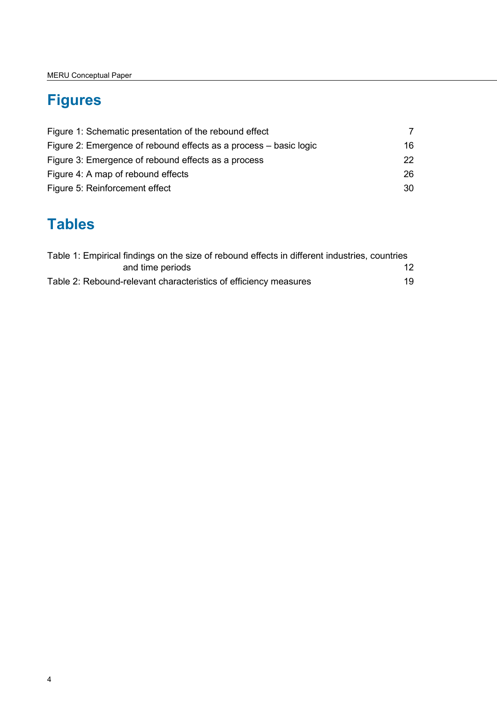# <span id="page-3-0"></span>**Figures**

| Figure 1: Schematic presentation of the rebound effect            |    |  |
|-------------------------------------------------------------------|----|--|
| Figure 2: Emergence of rebound effects as a process – basic logic | 16 |  |
| Figure 3: Emergence of rebound effects as a process               | 22 |  |
| Figure 4: A map of rebound effects                                |    |  |
| Figure 5: Reinforcement effect                                    | 30 |  |

# <span id="page-3-1"></span>**Tables**

| Table 1: Empirical findings on the size of rebound effects in different industries, countries |    |
|-----------------------------------------------------------------------------------------------|----|
| and time periods                                                                              | 12 |
| Table 2: Rebound-relevant characteristics of efficiency measures                              | 19 |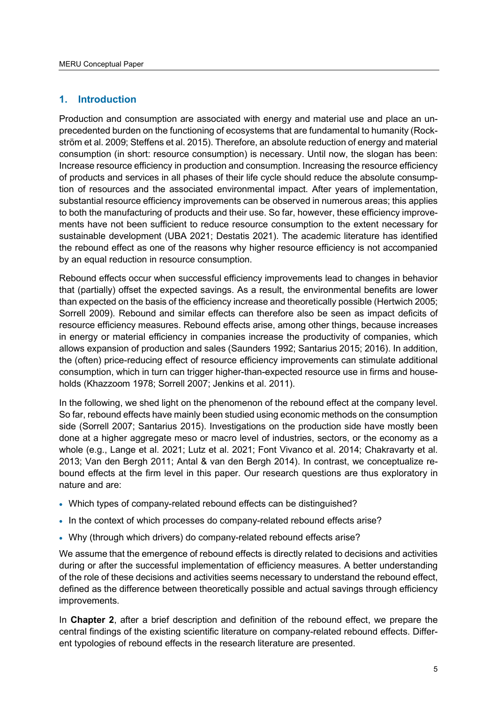## <span id="page-4-0"></span>**1. Introduction**

Production and consumption are associated with energy and material use and place an unprecedented burden on the functioning of ecosystems that are fundamental to humanity (Rockström et al. 2009; Steffens et al. 2015). Therefore, an absolute reduction of energy and material consumption (in short: resource consumption) is necessary. Until now, the slogan has been: Increase resource efficiency in production and consumption. Increasing the resource efficiency of products and services in all phases of their life cycle should reduce the absolute consumption of resources and the associated environmental impact. After years of implementation, substantial resource efficiency improvements can be observed in numerous areas; this applies to both the manufacturing of products and their use. So far, however, these efficiency improvements have not been sufficient to reduce resource consumption to the extent necessary for sustainable development (UBA 2021; Destatis 2021). The academic literature has identified the rebound effect as one of the reasons why higher resource efficiency is not accompanied by an equal reduction in resource consumption.

Rebound effects occur when successful efficiency improvements lead to changes in behavior that (partially) offset the expected savings. As a result, the environmental benefits are lower than expected on the basis of the efficiency increase and theoretically possible (Hertwich 2005; Sorrell 2009). Rebound and similar effects can therefore also be seen as impact deficits of resource efficiency measures. Rebound effects arise, among other things, because increases in energy or material efficiency in companies increase the productivity of companies, which allows expansion of production and sales (Saunders 1992; Santarius 2015; 2016). In addition, the (often) price-reducing effect of resource efficiency improvements can stimulate additional consumption, which in turn can trigger higher-than-expected resource use in firms and households (Khazzoom 1978; Sorrell 2007; Jenkins et al. 2011).

In the following, we shed light on the phenomenon of the rebound effect at the company level. So far, rebound effects have mainly been studied using economic methods on the consumption side (Sorrell 2007; Santarius 2015). Investigations on the production side have mostly been done at a higher aggregate meso or macro level of industries, sectors, or the economy as a whole (e.g., Lange et al. 2021; Lutz et al. 2021; Font Vivanco et al. 2014; Chakravarty et al. 2013; Van den Bergh 2011; Antal & van den Bergh 2014). In contrast, we conceptualize rebound effects at the firm level in this paper. Our research questions are thus exploratory in nature and are:

- Which types of company-related rebound effects can be distinguished?
- In the context of which processes do company-related rebound effects arise?
- Why (through which drivers) do company-related rebound effects arise?

We assume that the emergence of rebound effects is directly related to decisions and activities during or after the successful implementation of efficiency measures. A better understanding of the role of these decisions and activities seems necessary to understand the rebound effect, defined as the difference between theoretically possible and actual savings through efficiency improvements.

In **Chapter 2**, after a brief description and definition of the rebound effect, we prepare the central findings of the existing scientific literature on company-related rebound effects. Different typologies of rebound effects in the research literature are presented.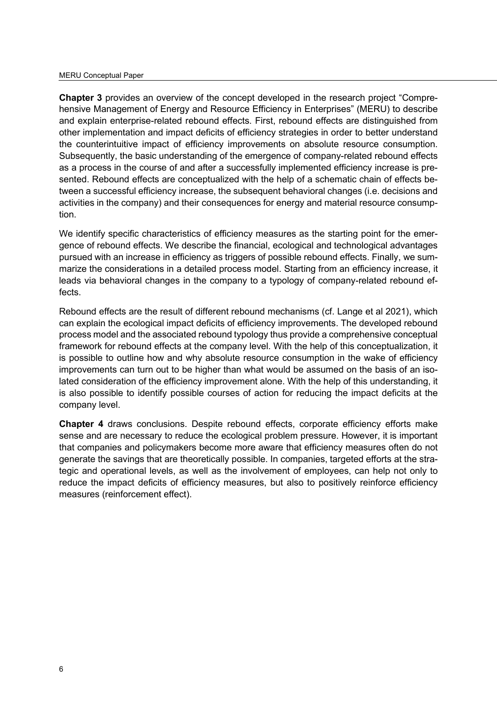#### MERU Conceptual Paper

**Chapter 3** provides an overview of the concept developed in the research project "Comprehensive Management of Energy and Resource Efficiency in Enterprises" (MERU) to describe and explain enterprise-related rebound effects. First, rebound effects are distinguished from other implementation and impact deficits of efficiency strategies in order to better understand the counterintuitive impact of efficiency improvements on absolute resource consumption. Subsequently, the basic understanding of the emergence of company-related rebound effects as a process in the course of and after a successfully implemented efficiency increase is presented. Rebound effects are conceptualized with the help of a schematic chain of effects between a successful efficiency increase, the subsequent behavioral changes (i.e. decisions and activities in the company) and their consequences for energy and material resource consumption.

We identify specific characteristics of efficiency measures as the starting point for the emergence of rebound effects. We describe the financial, ecological and technological advantages pursued with an increase in efficiency as triggers of possible rebound effects. Finally, we summarize the considerations in a detailed process model. Starting from an efficiency increase, it leads via behavioral changes in the company to a typology of company-related rebound effects.

Rebound effects are the result of different rebound mechanisms (cf. Lange et al 2021), which can explain the ecological impact deficits of efficiency improvements. The developed rebound process model and the associated rebound typology thus provide a comprehensive conceptual framework for rebound effects at the company level. With the help of this conceptualization, it is possible to outline how and why absolute resource consumption in the wake of efficiency improvements can turn out to be higher than what would be assumed on the basis of an isolated consideration of the efficiency improvement alone. With the help of this understanding, it is also possible to identify possible courses of action for reducing the impact deficits at the company level.

**Chapter 4** draws conclusions. Despite rebound effects, corporate efficiency efforts make sense and are necessary to reduce the ecological problem pressure. However, it is important that companies and policymakers become more aware that efficiency measures often do not generate the savings that are theoretically possible. In companies, targeted efforts at the strategic and operational levels, as well as the involvement of employees, can help not only to reduce the impact deficits of efficiency measures, but also to positively reinforce efficiency measures (reinforcement effect).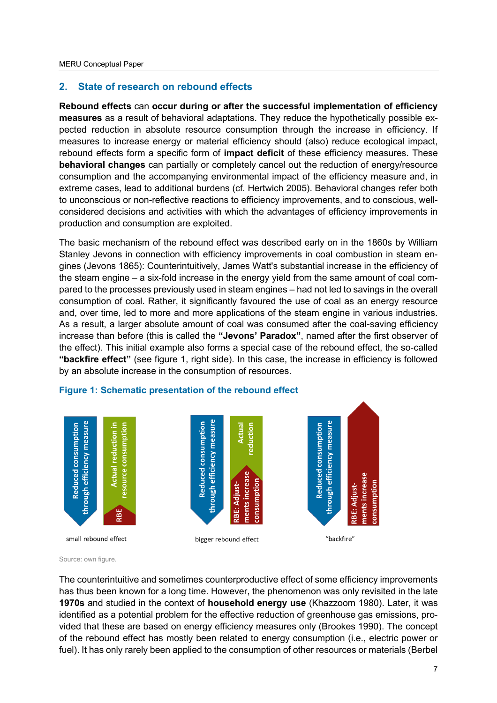# <span id="page-6-0"></span>**2. State of research on rebound effects**

**Rebound effects** can **occur during or after the successful implementation of efficiency measures** as a result of behavioral adaptations. They reduce the hypothetically possible expected reduction in absolute resource consumption through the increase in efficiency. If measures to increase energy or material efficiency should (also) reduce ecological impact, rebound effects form a specific form of **impact deficit** of these efficiency measures. These **behavioral changes** can partially or completely cancel out the reduction of energy/resource consumption and the accompanying environmental impact of the efficiency measure and, in extreme cases, lead to additional burdens (cf. Hertwich 2005). Behavioral changes refer both to unconscious or non-reflective reactions to efficiency improvements, and to conscious, wellconsidered decisions and activities with which the advantages of efficiency improvements in production and consumption are exploited.

The basic mechanism of the rebound effect was described early on in the 1860s by William Stanley Jevons in connection with efficiency improvements in coal combustion in steam engines (Jevons 1865): Counterintuitively, James Watt's substantial increase in the efficiency of the steam engine – a six-fold increase in the energy yield from the same amount of coal compared to the processes previously used in steam engines – had not led to savings in the overall consumption of coal. Rather, it significantly favoured the use of coal as an energy resource and, over time, led to more and more applications of the steam engine in various industries. As a result, a larger absolute amount of coal was consumed after the coal-saving efficiency increase than before (this is called the **"Jevons' Paradox"**, named after the first observer of the effect). This initial example also forms a special case of the rebound effect, the so-called **"backfire effect"** (see figure 1, right side). In this case, the increase in efficiency is followed by an absolute increase in the consumption of resources.



## <span id="page-6-1"></span>**Figure 1: Schematic presentation of the rebound effect**

Source: own figure.

The counterintuitive and sometimes counterproductive effect of some efficiency improvements has thus been known for a long time. However, the phenomenon was only revisited in the late **1970s** and studied in the context of **household energy use** (Khazzoom 1980). Later, it was identified as a potential problem for the effective reduction of greenhouse gas emissions, provided that these are based on energy efficiency measures only (Brookes 1990). The concept of the rebound effect has mostly been related to energy consumption (i.e., electric power or fuel). It has only rarely been applied to the consumption of other resources or materials (Berbel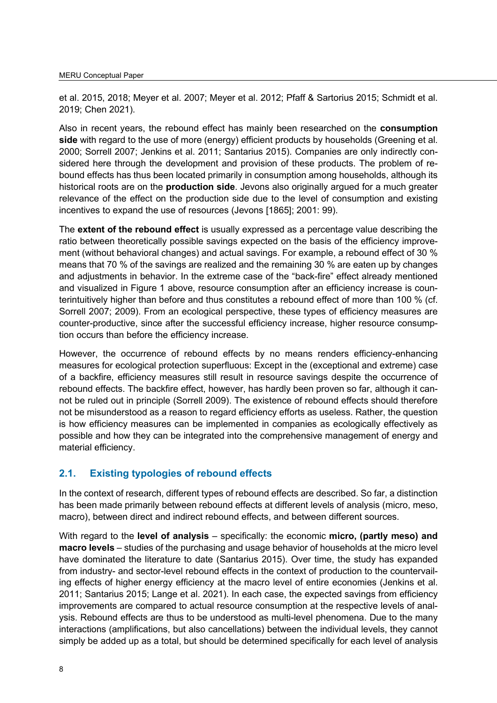et al. 2015, 2018; Meyer et al. 2007; Meyer et al. 2012; Pfaff & Sartorius 2015; Schmidt et al. 2019; Chen 2021).

Also in recent years, the rebound effect has mainly been researched on the **consumption side** with regard to the use of more (energy) efficient products by households (Greening et al. 2000; Sorrell 2007; Jenkins et al. 2011; Santarius 2015). Companies are only indirectly considered here through the development and provision of these products. The problem of rebound effects has thus been located primarily in consumption among households, although its historical roots are on the **production side**. Jevons also originally argued for a much greater relevance of the effect on the production side due to the level of consumption and existing incentives to expand the use of resources (Jevons [1865]; 2001: 99).

The **extent of the rebound effect** is usually expressed as a percentage value describing the ratio between theoretically possible savings expected on the basis of the efficiency improvement (without behavioral changes) and actual savings. For example, a rebound effect of 30 % means that 70 % of the savings are realized and the remaining 30 % are eaten up by changes and adjustments in behavior. In the extreme case of the "back-fire" effect already mentioned and visualized in Figure 1 above, resource consumption after an efficiency increase is counterintuitively higher than before and thus constitutes a rebound effect of more than 100 % (cf. Sorrell 2007; 2009). From an ecological perspective, these types of efficiency measures are counter-productive, since after the successful efficiency increase, higher resource consumption occurs than before the efficiency increase.

However, the occurrence of rebound effects by no means renders efficiency-enhancing measures for ecological protection superfluous: Except in the (exceptional and extreme) case of a backfire, efficiency measures still result in resource savings despite the occurrence of rebound effects. The backfire effect, however, has hardly been proven so far, although it cannot be ruled out in principle (Sorrell 2009). The existence of rebound effects should therefore not be misunderstood as a reason to regard efficiency efforts as useless. Rather, the question is how efficiency measures can be implemented in companies as ecologically effectively as possible and how they can be integrated into the comprehensive management of energy and material efficiency.

# <span id="page-7-0"></span>**2.1. Existing typologies of rebound effects**

In the context of research, different types of rebound effects are described. So far, a distinction has been made primarily between rebound effects at different levels of analysis (micro, meso, macro), between direct and indirect rebound effects, and between different sources.

With regard to the **level of analysis** – specifically: the economic **micro, (partly meso) and macro levels** – studies of the purchasing and usage behavior of households at the micro level have dominated the literature to date (Santarius 2015). Over time, the study has expanded from industry- and sector-level rebound effects in the context of production to the countervailing effects of higher energy efficiency at the macro level of entire economies (Jenkins et al. 2011; Santarius 2015; Lange et al. 2021). In each case, the expected savings from efficiency improvements are compared to actual resource consumption at the respective levels of analysis. Rebound effects are thus to be understood as multi-level phenomena. Due to the many interactions (amplifications, but also cancellations) between the individual levels, they cannot simply be added up as a total, but should be determined specifically for each level of analysis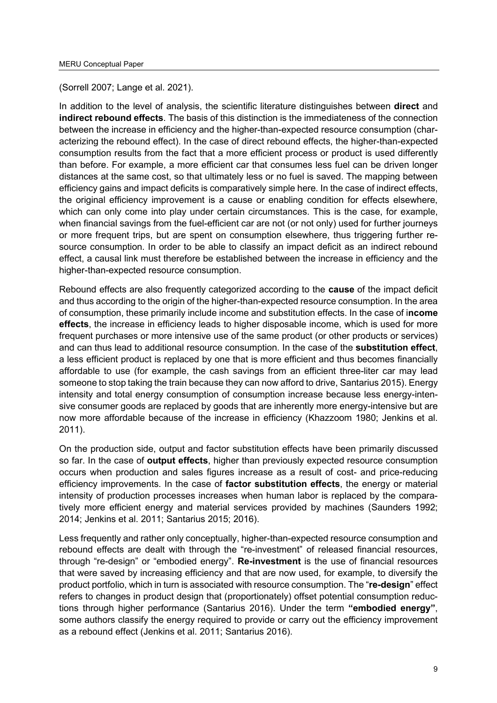(Sorrell 2007; Lange et al. 2021).

In addition to the level of analysis, the scientific literature distinguishes between **direct** and **indirect rebound effects**. The basis of this distinction is the immediateness of the connection between the increase in efficiency and the higher-than-expected resource consumption (characterizing the rebound effect). In the case of direct rebound effects, the higher-than-expected consumption results from the fact that a more efficient process or product is used differently than before. For example, a more efficient car that consumes less fuel can be driven longer distances at the same cost, so that ultimately less or no fuel is saved. The mapping between efficiency gains and impact deficits is comparatively simple here. In the case of indirect effects, the original efficiency improvement is a cause or enabling condition for effects elsewhere, which can only come into play under certain circumstances. This is the case, for example, when financial savings from the fuel-efficient car are not (or not only) used for further journeys or more frequent trips, but are spent on consumption elsewhere, thus triggering further resource consumption. In order to be able to classify an impact deficit as an indirect rebound effect, a causal link must therefore be established between the increase in efficiency and the higher-than-expected resource consumption.

Rebound effects are also frequently categorized according to the **cause** of the impact deficit and thus according to the origin of the higher-than-expected resource consumption. In the area of consumption, these primarily include income and substitution effects. In the case of i**ncome effects**, the increase in efficiency leads to higher disposable income, which is used for more frequent purchases or more intensive use of the same product (or other products or services) and can thus lead to additional resource consumption. In the case of the **substitution effect**, a less efficient product is replaced by one that is more efficient and thus becomes financially affordable to use (for example, the cash savings from an efficient three-liter car may lead someone to stop taking the train because they can now afford to drive, Santarius 2015). Energy intensity and total energy consumption of consumption increase because less energy-intensive consumer goods are replaced by goods that are inherently more energy-intensive but are now more affordable because of the increase in efficiency (Khazzoom 1980; Jenkins et al. 2011).

On the production side, output and factor substitution effects have been primarily discussed so far. In the case of **output effects**, higher than previously expected resource consumption occurs when production and sales figures increase as a result of cost- and price-reducing efficiency improvements. In the case of **factor substitution effects**, the energy or material intensity of production processes increases when human labor is replaced by the comparatively more efficient energy and material services provided by machines (Saunders 1992; 2014; Jenkins et al. 2011; Santarius 2015; 2016).

Less frequently and rather only conceptually, higher-than-expected resource consumption and rebound effects are dealt with through the "re-investment" of released financial resources, through "re-design" or "embodied energy". **Re-investment** is the use of financial resources that were saved by increasing efficiency and that are now used, for example, to diversify the product portfolio, which in turn is associated with resource consumption. The "**re-design**" effect refers to changes in product design that (proportionately) offset potential consumption reductions through higher performance (Santarius 2016). Under the term **"embodied energy"**, some authors classify the energy required to provide or carry out the efficiency improvement as a rebound effect (Jenkins et al. 2011; Santarius 2016).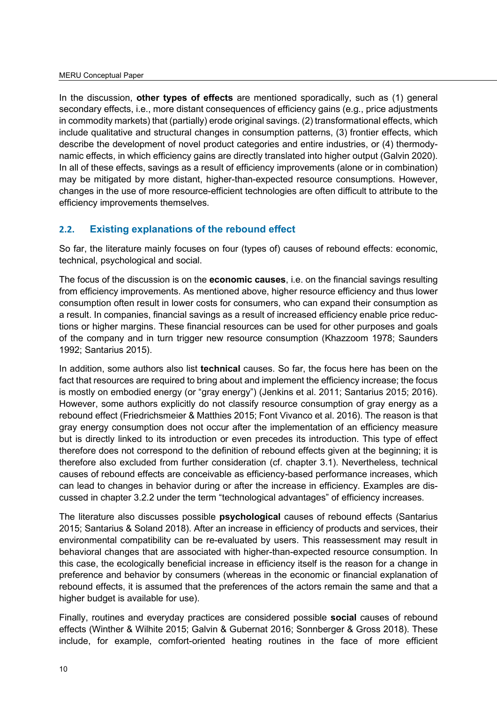In the discussion, **other types of effects** are mentioned sporadically, such as (1) general secondary effects, i.e., more distant consequences of efficiency gains (e.g., price adjustments in commodity markets) that (partially) erode original savings. (2) transformational effects, which include qualitative and structural changes in consumption patterns, (3) frontier effects, which describe the development of novel product categories and entire industries, or (4) thermodynamic effects, in which efficiency gains are directly translated into higher output (Galvin 2020). In all of these effects, savings as a result of efficiency improvements (alone or in combination) may be mitigated by more distant, higher-than-expected resource consumptions. However, changes in the use of more resource-efficient technologies are often difficult to attribute to the efficiency improvements themselves.

## <span id="page-9-0"></span>**2.2. Existing explanations of the rebound effect**

So far, the literature mainly focuses on four (types of) causes of rebound effects: economic, technical, psychological and social.

The focus of the discussion is on the **economic causes**, i.e. on the financial savings resulting from efficiency improvements. As mentioned above, higher resource efficiency and thus lower consumption often result in lower costs for consumers, who can expand their consumption as a result. In companies, financial savings as a result of increased efficiency enable price reductions or higher margins. These financial resources can be used for other purposes and goals of the company and in turn trigger new resource consumption (Khazzoom 1978; Saunders 1992; Santarius 2015).

In addition, some authors also list **technical** causes. So far, the focus here has been on the fact that resources are required to bring about and implement the efficiency increase; the focus is mostly on embodied energy (or "gray energy") (Jenkins et al. 2011; Santarius 2015; 2016). However, some authors explicitly do not classify resource consumption of gray energy as a rebound effect (Friedrichsmeier & Matthies 2015; Font Vivanco et al. 2016). The reason is that gray energy consumption does not occur after the implementation of an efficiency measure but is directly linked to its introduction or even precedes its introduction. This type of effect therefore does not correspond to the definition of rebound effects given at the beginning; it is therefore also excluded from further consideration (cf. chapter 3.1). Nevertheless, technical causes of rebound effects are conceivable as efficiency-based performance increases, which can lead to changes in behavior during or after the increase in efficiency. Examples are discussed in chapter 3.2.2 under the term "technological advantages" of efficiency increases.

The literature also discusses possible **psychological** causes of rebound effects (Santarius 2015; Santarius & Soland 2018). After an increase in efficiency of products and services, their environmental compatibility can be re-evaluated by users. This reassessment may result in behavioral changes that are associated with higher-than-expected resource consumption. In this case, the ecologically beneficial increase in efficiency itself is the reason for a change in preference and behavior by consumers (whereas in the economic or financial explanation of rebound effects, it is assumed that the preferences of the actors remain the same and that a higher budget is available for use).

Finally, routines and everyday practices are considered possible **social** causes of rebound effects (Winther & Wilhite 2015; Galvin & Gubernat 2016; Sonnberger & Gross 2018). These include, for example, comfort-oriented heating routines in the face of more efficient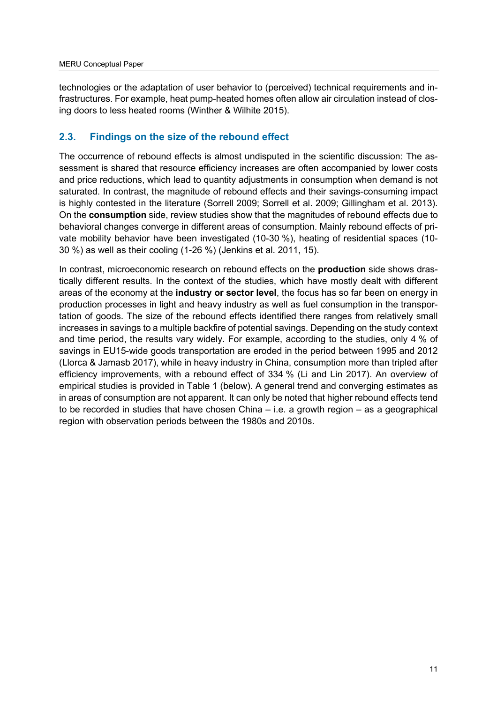technologies or the adaptation of user behavior to (perceived) technical requirements and infrastructures. For example, heat pump-heated homes often allow air circulation instead of closing doors to less heated rooms (Winther & Wilhite 2015).

# <span id="page-10-0"></span>**2.3. Findings on the size of the rebound effect**

The occurrence of rebound effects is almost undisputed in the scientific discussion: The assessment is shared that resource efficiency increases are often accompanied by lower costs and price reductions, which lead to quantity adjustments in consumption when demand is not saturated. In contrast, the magnitude of rebound effects and their savings-consuming impact is highly contested in the literature (Sorrell 2009; Sorrell et al. 2009; Gillingham et al. 2013). On the **consumption** side, review studies show that the magnitudes of rebound effects due to behavioral changes converge in different areas of consumption. Mainly rebound effects of private mobility behavior have been investigated (10-30 %), heating of residential spaces (10- 30 %) as well as their cooling (1-26 %) (Jenkins et al. 2011, 15).

In contrast, microeconomic research on rebound effects on the **production** side shows drastically different results. In the context of the studies, which have mostly dealt with different areas of the economy at the **industry or sector level**, the focus has so far been on energy in production processes in light and heavy industry as well as fuel consumption in the transportation of goods. The size of the rebound effects identified there ranges from relatively small increases in savings to a multiple backfire of potential savings. Depending on the study context and time period, the results vary widely. For example, according to the studies, only 4 % of savings in EU15-wide goods transportation are eroded in the period between 1995 and 2012 (Llorca & Jamasb 2017), while in heavy industry in China, consumption more than tripled after efficiency improvements, with a rebound effect of 334 % (Li and Lin 2017). An overview of empirical studies is provided in Table 1 (below). A general trend and converging estimates as in areas of consumption are not apparent. It can only be noted that higher rebound effects tend to be recorded in studies that have chosen China – i.e. a growth region – as a geographical region with observation periods between the 1980s and 2010s.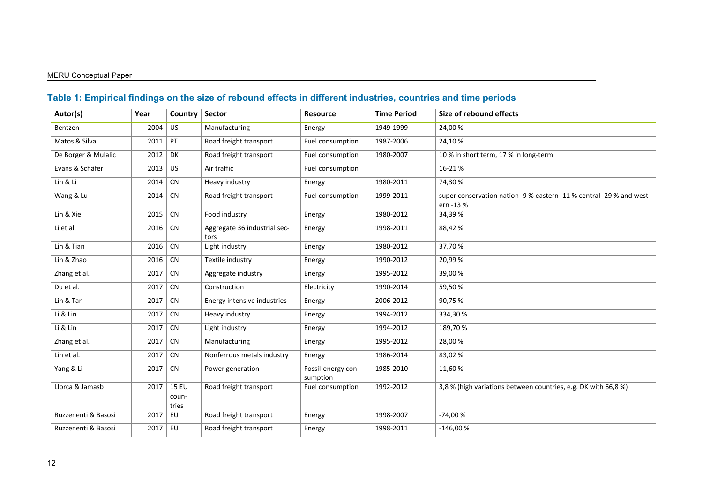#### MERU Conceptual Paper

# **Table 1: Empirical findings on the size of rebound effects in different industries, countries and time periods**

<span id="page-11-0"></span>

| Autor(s)            | Year | Country                        | <b>Sector</b>                        | <b>Resource</b>                | <b>Time Period</b> | Size of rebound effects                                                           |
|---------------------|------|--------------------------------|--------------------------------------|--------------------------------|--------------------|-----------------------------------------------------------------------------------|
| Bentzen             | 2004 | <b>US</b>                      | Manufacturing                        | Energy                         | 1949-1999          | 24,00%                                                                            |
| Matos & Silva       | 2011 | PT                             | Road freight transport               | Fuel consumption               | 1987-2006          | 24,10%                                                                            |
| De Borger & Mulalic | 2012 | <b>DK</b>                      | Road freight transport               | Fuel consumption               | 1980-2007          | 10 % in short term, 17 % in long-term                                             |
| Evans & Schäfer     | 2013 | <b>US</b>                      | Air traffic                          | Fuel consumption               |                    | 16-21%                                                                            |
| Lin & Li            | 2014 | <b>CN</b>                      | Heavy industry                       | Energy                         | 1980-2011          | 74,30%                                                                            |
| Wang & Lu           | 2014 | <b>CN</b>                      | Road freight transport               | Fuel consumption               | 1999-2011          | super conservation nation -9 % eastern -11 % central -29 % and west-<br>ern -13 % |
| Lin & Xie           | 2015 | CN                             | Food industry                        | Energy                         | 1980-2012          | 34,39 %                                                                           |
| Li et al.           | 2016 | <b>CN</b>                      | Aggregate 36 industrial sec-<br>tors | Energy                         | 1998-2011          | 88,42%                                                                            |
| Lin & Tian          | 2016 | CN                             | Light industry                       | Energy                         | 1980-2012          | 37,70%                                                                            |
| Lin & Zhao          | 2016 | <b>CN</b>                      | Textile industry                     | Energy                         | 1990-2012          | 20,99%                                                                            |
| Zhang et al.        | 2017 | CN                             | Aggregate industry                   | Energy                         | 1995-2012          | 39,00 %                                                                           |
| Du et al.           | 2017 | <b>CN</b>                      | Construction                         | Electricity                    | 1990-2014          | 59,50%                                                                            |
| Lin & Tan           | 2017 | CN                             | Energy intensive industries          | Energy                         | 2006-2012          | 90,75 %                                                                           |
| Li & Lin            | 2017 | <b>CN</b>                      | Heavy industry                       | Energy                         | 1994-2012          | 334,30%                                                                           |
| Li & Lin            | 2017 | <b>CN</b>                      | Light industry                       | Energy                         | 1994-2012          | 189,70%                                                                           |
| Zhang et al.        | 2017 | <b>CN</b>                      | Manufacturing                        | Energy                         | 1995-2012          | 28,00%                                                                            |
| Lin et al.          | 2017 | <b>CN</b>                      | Nonferrous metals industry           | Energy                         | 1986-2014          | 83,02%                                                                            |
| Yang & Li           | 2017 | <b>CN</b>                      | Power generation                     | Fossil-energy con-<br>sumption | 1985-2010          | 11,60%                                                                            |
| Llorca & Jamasb     | 2017 | <b>15 EU</b><br>coun-<br>tries | Road freight transport               | Fuel consumption               | 1992-2012          | 3,8 % (high variations between countries, e.g. DK with 66,8 %)                    |
| Ruzzenenti & Basosi | 2017 | EU                             | Road freight transport               | Energy                         | 1998-2007          | $-74,00%$                                                                         |
| Ruzzenenti & Basosi | 2017 | EU                             | Road freight transport               | Energy                         | 1998-2011          | $-146,00%$                                                                        |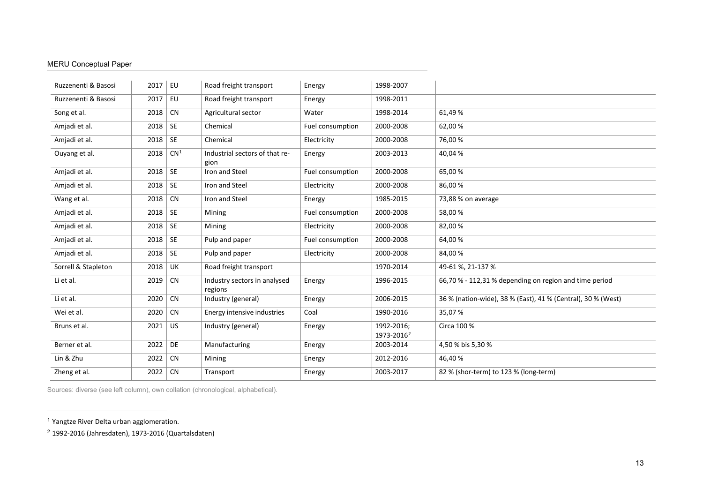#### <span id="page-12-1"></span><span id="page-12-0"></span>MERU Conceptual Paper

| Ruzzenenti & Basosi | 2017 | EU              | Road freight transport                  | Energy           | 1998-2007                            |                                                              |
|---------------------|------|-----------------|-----------------------------------------|------------------|--------------------------------------|--------------------------------------------------------------|
| Ruzzenenti & Basosi | 2017 | EU              | Road freight transport                  | Energy           | 1998-2011                            |                                                              |
| Song et al.         | 2018 | <b>CN</b>       | Agricultural sector                     | Water            | 1998-2014                            | 61,49%                                                       |
| Amjadi et al.       | 2018 | <b>SE</b>       | Chemical                                | Fuel consumption | 2000-2008                            | 62,00 %                                                      |
| Amjadi et al.       | 2018 | <b>SE</b>       | Chemical                                | Electricity      | 2000-2008                            | 76,00 %                                                      |
| Ouyang et al.       | 2018 | CN <sup>1</sup> | Industrial sectors of that re-<br>gion  | Energy           | 2003-2013                            | 40,04%                                                       |
| Amjadi et al.       | 2018 | <b>SE</b>       | Iron and Steel                          | Fuel consumption | 2000-2008                            | 65,00 %                                                      |
| Amjadi et al.       | 2018 | <b>SE</b>       | Iron and Steel                          | Electricity      | 2000-2008                            | 86,00%                                                       |
| Wang et al.         | 2018 | <b>CN</b>       | Iron and Steel                          | Energy           | 1985-2015                            | 73,88 % on average                                           |
| Amjadi et al.       | 2018 | <b>SE</b>       | Mining                                  | Fuel consumption | 2000-2008                            | 58,00 %                                                      |
| Amjadi et al.       | 2018 | <b>SE</b>       | Mining                                  | Electricity      | 2000-2008                            | 82,00%                                                       |
| Amjadi et al.       | 2018 | <b>SE</b>       | Pulp and paper                          | Fuel consumption | 2000-2008                            | 64,00%                                                       |
| Amjadi et al.       | 2018 | <b>SE</b>       | Pulp and paper                          | Electricity      | 2000-2008                            | 84,00%                                                       |
| Sorrell & Stapleton | 2018 | UK              | Road freight transport                  |                  | 1970-2014                            | 49-61 %, 21-137 %                                            |
| Li et al.           | 2019 | <b>CN</b>       | Industry sectors in analysed<br>regions | Energy           | 1996-2015                            | 66,70 % - 112,31 % depending on region and time period       |
| Li et al.           | 2020 | <b>CN</b>       | Industry (general)                      | Energy           | 2006-2015                            | 36 % (nation-wide), 38 % (East), 41 % (Central), 30 % (West) |
| Wei et al.          | 2020 | <b>CN</b>       | Energy intensive industries             | Coal             | 1990-2016                            | 35,07%                                                       |
| Bruns et al.        | 2021 | <b>US</b>       | Industry (general)                      | Energy           | 1992-2016:<br>1973-2016 <sup>2</sup> | Circa 100 %                                                  |
| Berner et al.       | 2022 | DE              | Manufacturing                           | Energy           | 2003-2014                            | 4,50 % bis 5,30 %                                            |
| Lin & Zhu           | 2022 | CN              | Mining                                  | Energy           | 2012-2016                            | 46,40 %                                                      |
| Zheng et al.        | 2022 | <b>CN</b>       | Transport                               | Energy           | 2003-2017                            | 82 % (shor-term) to 123 % (long-term)                        |
|                     |      |                 |                                         |                  |                                      |                                                              |

Sources: diverse (see left column), own collation (chronological, alphabetical).

<sup>1</sup> Yangtze River Delta urban agglomeration.

<sup>2</sup> 1992-2016 (Jahresdaten), 1973-2016 (Quartalsdaten)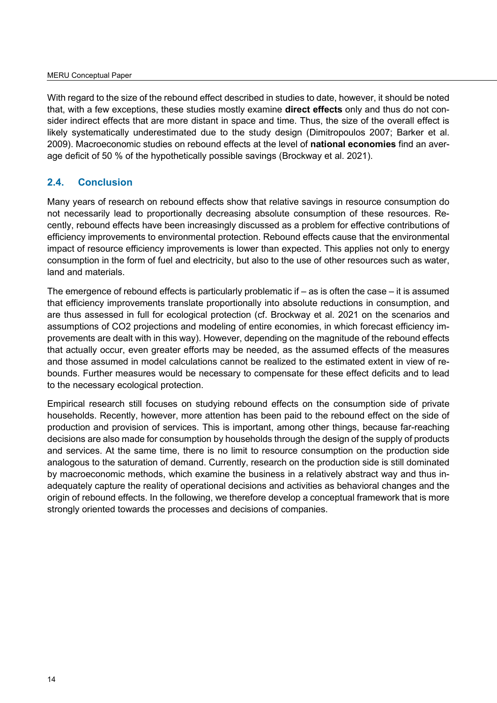With regard to the size of the rebound effect described in studies to date, however, it should be noted that, with a few exceptions, these studies mostly examine **direct effects** only and thus do not consider indirect effects that are more distant in space and time. Thus, the size of the overall effect is likely systematically underestimated due to the study design (Dimitropoulos 2007; Barker et al. 2009). Macroeconomic studies on rebound effects at the level of **national economies** find an average deficit of 50 % of the hypothetically possible savings (Brockway et al. 2021).

## <span id="page-13-0"></span>**2.4. Conclusion**

Many years of research on rebound effects show that relative savings in resource consumption do not necessarily lead to proportionally decreasing absolute consumption of these resources. Recently, rebound effects have been increasingly discussed as a problem for effective contributions of efficiency improvements to environmental protection. Rebound effects cause that the environmental impact of resource efficiency improvements is lower than expected. This applies not only to energy consumption in the form of fuel and electricity, but also to the use of other resources such as water, land and materials.

The emergence of rebound effects is particularly problematic if – as is often the case – it is assumed that efficiency improvements translate proportionally into absolute reductions in consumption, and are thus assessed in full for ecological protection (cf. Brockway et al. 2021 on the scenarios and assumptions of CO2 projections and modeling of entire economies, in which forecast efficiency improvements are dealt with in this way). However, depending on the magnitude of the rebound effects that actually occur, even greater efforts may be needed, as the assumed effects of the measures and those assumed in model calculations cannot be realized to the estimated extent in view of rebounds. Further measures would be necessary to compensate for these effect deficits and to lead to the necessary ecological protection.

Empirical research still focuses on studying rebound effects on the consumption side of private households. Recently, however, more attention has been paid to the rebound effect on the side of production and provision of services. This is important, among other things, because far-reaching decisions are also made for consumption by households through the design of the supply of products and services. At the same time, there is no limit to resource consumption on the production side analogous to the saturation of demand. Currently, research on the production side is still dominated by macroeconomic methods, which examine the business in a relatively abstract way and thus inadequately capture the reality of operational decisions and activities as behavioral changes and the origin of rebound effects. In the following, we therefore develop a conceptual framework that is more strongly oriented towards the processes and decisions of companies.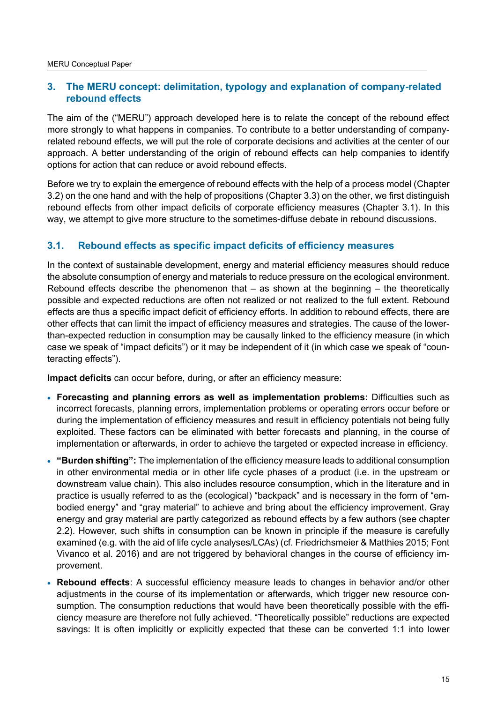# <span id="page-14-0"></span>**3. The MERU concept: delimitation, typology and explanation of company-related rebound effects**

The aim of the ("MERU") approach developed here is to relate the concept of the rebound effect more strongly to what happens in companies. To contribute to a better understanding of companyrelated rebound effects, we will put the role of corporate decisions and activities at the center of our approach. A better understanding of the origin of rebound effects can help companies to identify options for action that can reduce or avoid rebound effects.

Before we try to explain the emergence of rebound effects with the help of a process model (Chapter 3.2) on the one hand and with the help of propositions (Chapter 3.3) on the other, we first distinguish rebound effects from other impact deficits of corporate efficiency measures (Chapter 3.1). In this way, we attempt to give more structure to the sometimes-diffuse debate in rebound discussions.

# <span id="page-14-1"></span>**3.1. Rebound effects as specific impact deficits of efficiency measures**

In the context of sustainable development, energy and material efficiency measures should reduce the absolute consumption of energy and materials to reduce pressure on the ecological environment. Rebound effects describe the phenomenon that  $-$  as shown at the beginning  $-$  the theoretically possible and expected reductions are often not realized or not realized to the full extent. Rebound effects are thus a specific impact deficit of efficiency efforts. In addition to rebound effects, there are other effects that can limit the impact of efficiency measures and strategies. The cause of the lowerthan-expected reduction in consumption may be causally linked to the efficiency measure (in which case we speak of "impact deficits") or it may be independent of it (in which case we speak of "counteracting effects").

**Impact deficits** can occur before, during, or after an efficiency measure:

- **Forecasting and planning errors as well as implementation problems:** Difficulties such as incorrect forecasts, planning errors, implementation problems or operating errors occur before or during the implementation of efficiency measures and result in efficiency potentials not being fully exploited. These factors can be eliminated with better forecasts and planning, in the course of implementation or afterwards, in order to achieve the targeted or expected increase in efficiency.
- **"Burden shifting":** The implementation of the efficiency measure leads to additional consumption in other environmental media or in other life cycle phases of a product (i.e. in the upstream or downstream value chain). This also includes resource consumption, which in the literature and in practice is usually referred to as the (ecological) "backpack" and is necessary in the form of "embodied energy" and "gray material" to achieve and bring about the efficiency improvement. Gray energy and gray material are partly categorized as rebound effects by a few authors (see chapter 2.2). However, such shifts in consumption can be known in principle if the measure is carefully examined (e.g. with the aid of life cycle analyses/LCAs) (cf. Friedrichsmeier & Matthies 2015; Font Vivanco et al. 2016) and are not triggered by behavioral changes in the course of efficiency improvement.
- **Rebound effects**: A successful efficiency measure leads to changes in behavior and/or other adjustments in the course of its implementation or afterwards, which trigger new resource consumption. The consumption reductions that would have been theoretically possible with the efficiency measure are therefore not fully achieved. "Theoretically possible" reductions are expected savings: It is often implicitly or explicitly expected that these can be converted 1:1 into lower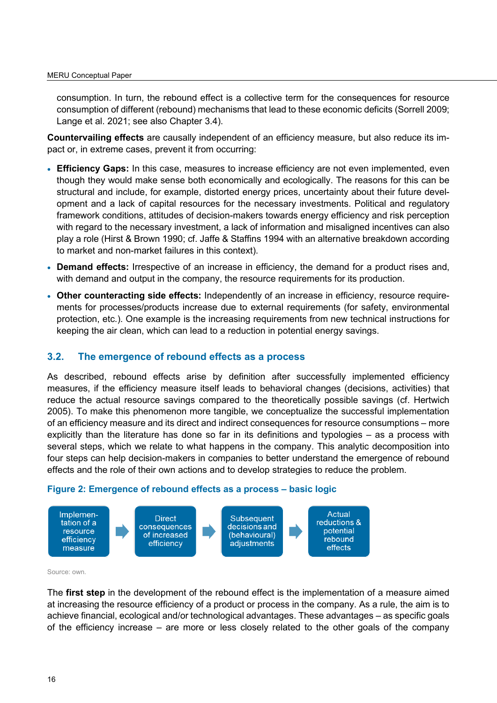consumption. In turn, the rebound effect is a collective term for the consequences for resource consumption of different (rebound) mechanisms that lead to these economic deficits (Sorrell 2009; Lange et al. 2021; see also Chapter 3.4).

**Countervailing effects** are causally independent of an efficiency measure, but also reduce its impact or, in extreme cases, prevent it from occurring:

- **Efficiency Gaps:** In this case, measures to increase efficiency are not even implemented, even though they would make sense both economically and ecologically. The reasons for this can be structural and include, for example, distorted energy prices, uncertainty about their future development and a lack of capital resources for the necessary investments. Political and regulatory framework conditions, attitudes of decision-makers towards energy efficiency and risk perception with regard to the necessary investment, a lack of information and misaligned incentives can also play a role (Hirst & Brown 1990; cf. Jaffe & Staffins 1994 with an alternative breakdown according to market and non-market failures in this context).
- **Demand effects:** Irrespective of an increase in efficiency, the demand for a product rises and, with demand and output in the company, the resource requirements for its production.
- **Other counteracting side effects:** Independently of an increase in efficiency, resource requirements for processes/products increase due to external requirements (for safety, environmental protection, etc.). One example is the increasing requirements from new technical instructions for keeping the air clean, which can lead to a reduction in potential energy savings.

#### <span id="page-15-0"></span>**3.2. The emergence of rebound effects as a process**

As described, rebound effects arise by definition after successfully implemented efficiency measures, if the efficiency measure itself leads to behavioral changes (decisions, activities) that reduce the actual resource savings compared to the theoretically possible savings (cf. Hertwich 2005). To make this phenomenon more tangible, we conceptualize the successful implementation of an efficiency measure and its direct and indirect consequences for resource consumptions – more explicitly than the literature has done so far in its definitions and typologies – as a process with several steps, which we relate to what happens in the company. This analytic decomposition into four steps can help decision-makers in companies to better understand the emergence of rebound effects and the role of their own actions and to develop strategies to reduce the problem.



#### <span id="page-15-1"></span>**Figure 2: Emergence of rebound effects as a process – basic logic**

Source: own.

The **first step** in the development of the rebound effect is the implementation of a measure aimed at increasing the resource efficiency of a product or process in the company. As a rule, the aim is to achieve financial, ecological and/or technological advantages. These advantages – as specific goals of the efficiency increase – are more or less closely related to the other goals of the company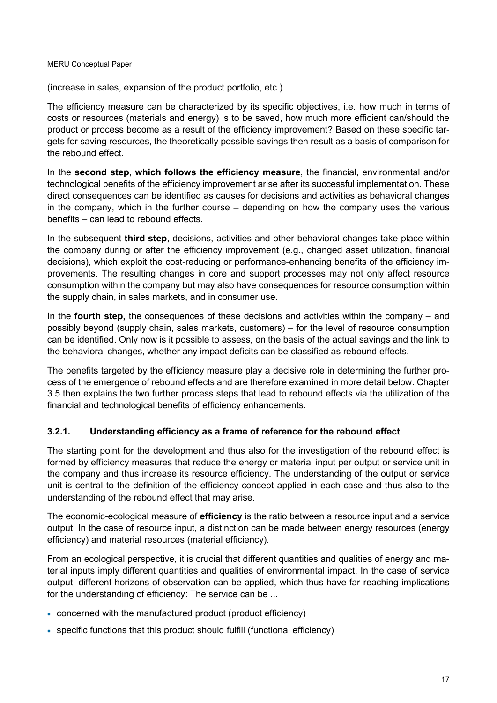(increase in sales, expansion of the product portfolio, etc.).

The efficiency measure can be characterized by its specific objectives, i.e. how much in terms of costs or resources (materials and energy) is to be saved, how much more efficient can/should the product or process become as a result of the efficiency improvement? Based on these specific targets for saving resources, the theoretically possible savings then result as a basis of comparison for the rebound effect.

In the **second step**, **which follows the efficiency measure**, the financial, environmental and/or technological benefits of the efficiency improvement arise after its successful implementation. These direct consequences can be identified as causes for decisions and activities as behavioral changes in the company, which in the further course – depending on how the company uses the various benefits – can lead to rebound effects.

In the subsequent **third step**, decisions, activities and other behavioral changes take place within the company during or after the efficiency improvement (e.g., changed asset utilization, financial decisions), which exploit the cost-reducing or performance-enhancing benefits of the efficiency improvements. The resulting changes in core and support processes may not only affect resource consumption within the company but may also have consequences for resource consumption within the supply chain, in sales markets, and in consumer use.

In the **fourth step,** the consequences of these decisions and activities within the company – and possibly beyond (supply chain, sales markets, customers) – for the level of resource consumption can be identified. Only now is it possible to assess, on the basis of the actual savings and the link to the behavioral changes, whether any impact deficits can be classified as rebound effects.

The benefits targeted by the efficiency measure play a decisive role in determining the further process of the emergence of rebound effects and are therefore examined in more detail below. Chapter 3.5 then explains the two further process steps that lead to rebound effects via the utilization of the financial and technological benefits of efficiency enhancements.

## <span id="page-16-0"></span>**3.2.1. Understanding efficiency as a frame of reference for the rebound effect**

The starting point for the development and thus also for the investigation of the rebound effect is formed by efficiency measures that reduce the energy or material input per output or service unit in the company and thus increase its resource efficiency. The understanding of the output or service unit is central to the definition of the efficiency concept applied in each case and thus also to the understanding of the rebound effect that may arise.

The economic-ecological measure of **efficiency** is the ratio between a resource input and a service output. In the case of resource input, a distinction can be made between energy resources (energy efficiency) and material resources (material efficiency).

From an ecological perspective, it is crucial that different quantities and qualities of energy and material inputs imply different quantities and qualities of environmental impact. In the case of service output, different horizons of observation can be applied, which thus have far-reaching implications for the understanding of efficiency: The service can be ...

- concerned with the manufactured product (product efficiency)
- specific functions that this product should fulfill (functional efficiency)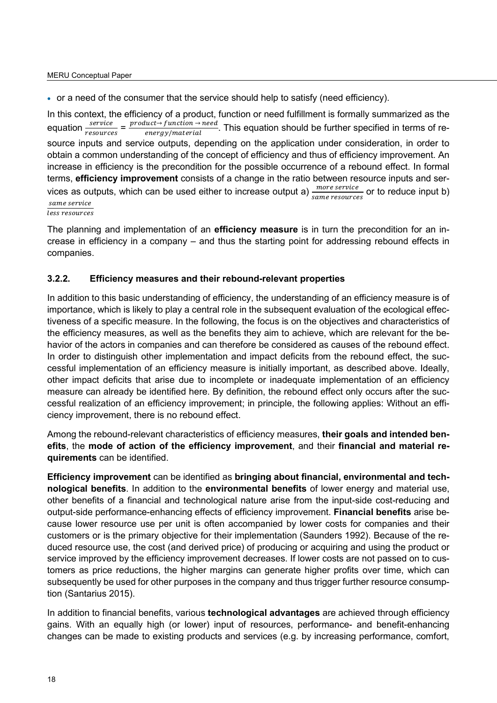• or a need of the consumer that the service should help to satisfy (need efficiency).

In this context, the efficiency of a product, function or need fulfillment is formally summarized as the equation  $\frac{service}{resources} = \frac{product \rightarrow function \rightarrow need}{energy/material}$ . This equation should be further specified in terms of resource inputs and service outputs, depending on the application under consideration, in order to obtain a common understanding of the concept of efficiency and thus of efficiency improvement. An increase in efficiency is the precondition for the possible occurrence of a rebound effect. In formal terms, **efficiency improvement** consists of a change in the ratio between resource inputs and services as outputs, which can be used either to increase output a)  $\frac{more\ service}{same\ resources}$  or to reduce input b) same service

less resources

The planning and implementation of an **efficiency measure** is in turn the precondition for an increase in efficiency in a company – and thus the starting point for addressing rebound effects in companies.

#### <span id="page-17-0"></span>**3.2.2. Efficiency measures and their rebound-relevant properties**

In addition to this basic understanding of efficiency, the understanding of an efficiency measure is of importance, which is likely to play a central role in the subsequent evaluation of the ecological effectiveness of a specific measure. In the following, the focus is on the objectives and characteristics of the efficiency measures, as well as the benefits they aim to achieve, which are relevant for the behavior of the actors in companies and can therefore be considered as causes of the rebound effect. In order to distinguish other implementation and impact deficits from the rebound effect, the successful implementation of an efficiency measure is initially important, as described above. Ideally, other impact deficits that arise due to incomplete or inadequate implementation of an efficiency measure can already be identified here. By definition, the rebound effect only occurs after the successful realization of an efficiency improvement; in principle, the following applies: Without an efficiency improvement, there is no rebound effect.

Among the rebound-relevant characteristics of efficiency measures, **their goals and intended benefits**, the **mode of action of the efficiency improvement**, and their **financial and material requirements** can be identified.

**Efficiency improvement** can be identified as **bringing about financial, environmental and technological benefits**. In addition to the **environmental benefits** of lower energy and material use, other benefits of a financial and technological nature arise from the input-side cost-reducing and output-side performance-enhancing effects of efficiency improvement. **Financial benefits** arise because lower resource use per unit is often accompanied by lower costs for companies and their customers or is the primary objective for their implementation (Saunders 1992). Because of the reduced resource use, the cost (and derived price) of producing or acquiring and using the product or service improved by the efficiency improvement decreases. If lower costs are not passed on to customers as price reductions, the higher margins can generate higher profits over time, which can subsequently be used for other purposes in the company and thus trigger further resource consumption (Santarius 2015).

In addition to financial benefits, various **technological advantages** are achieved through efficiency gains. With an equally high (or lower) input of resources, performance- and benefit-enhancing changes can be made to existing products and services (e.g. by increasing performance, comfort,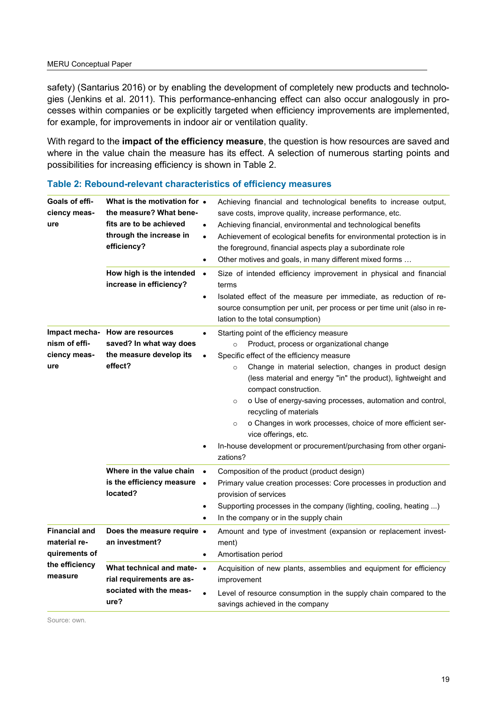safety) (Santarius 2016) or by enabling the development of completely new products and technologies (Jenkins et al. 2011). This performance-enhancing effect can also occur analogously in processes within companies or be explicitly targeted when efficiency improvements are implemented, for example, for improvements in indoor air or ventilation quality.

With regard to the **impact of the efficiency measure**, the question is how resources are saved and where in the value chain the measure has its effect. A selection of numerous starting points and possibilities for increasing efficiency is shown in Table 2.

| Goals of effi-<br>ciency meas-<br>ure                 | What is the motivation for $\bullet$<br>the measure? What bene-<br>fits are to be achieved<br>$\bullet$<br>through the increase in<br>$\bullet$<br>efficiency?<br>$\bullet$<br>How high is the intended<br>$\bullet$<br>increase in efficiency?<br>$\bullet$ | Achieving financial and technological benefits to increase output,<br>save costs, improve quality, increase performance, etc.<br>Achieving financial, environmental and technological benefits<br>Achievement of ecological benefits for environmental protection is in<br>the foreground, financial aspects play a subordinate role<br>Other motives and goals, in many different mixed forms<br>Size of intended efficiency improvement in physical and financial<br>terms<br>Isolated effect of the measure per immediate, as reduction of re-<br>source consumption per unit, per process or per time unit (also in re-<br>lation to the total consumption)                                                                                                                                                                                              |  |  |
|-------------------------------------------------------|--------------------------------------------------------------------------------------------------------------------------------------------------------------------------------------------------------------------------------------------------------------|--------------------------------------------------------------------------------------------------------------------------------------------------------------------------------------------------------------------------------------------------------------------------------------------------------------------------------------------------------------------------------------------------------------------------------------------------------------------------------------------------------------------------------------------------------------------------------------------------------------------------------------------------------------------------------------------------------------------------------------------------------------------------------------------------------------------------------------------------------------|--|--|
| nism of effi-<br>ciency meas-<br>ure                  | Impact mecha- How are resources<br>$\bullet$<br>saved? In what way does<br>the measure develop its<br>$\bullet$<br>effect?<br>$\bullet$                                                                                                                      | Starting point of the efficiency measure<br>Product, process or organizational change<br>$\circ$<br>Specific effect of the efficiency measure<br>Change in material selection, changes in product design<br>$\circ$<br>(less material and energy "in" the product), lightweight and<br>compact construction.<br>o Use of energy-saving processes, automation and control,<br>$\circ$<br>recycling of materials<br>o Changes in work processes, choice of more efficient ser-<br>$\circ$<br>vice offerings, etc.<br>In-house development or procurement/purchasing from other organi-<br>zations?<br>Composition of the product (product design)<br>Primary value creation processes: Core processes in production and<br>provision of services<br>Supporting processes in the company (lighting, cooling, heating )<br>In the company or in the supply chain |  |  |
|                                                       | Where in the value chain<br>$\bullet$<br>is the efficiency measure<br>$\bullet$<br>located?<br>$\bullet$<br>$\bullet$                                                                                                                                        |                                                                                                                                                                                                                                                                                                                                                                                                                                                                                                                                                                                                                                                                                                                                                                                                                                                              |  |  |
| <b>Financial and</b><br>material re-<br>quirements of | Does the measure require .<br>an investment?<br>$\bullet$                                                                                                                                                                                                    | Amount and type of investment (expansion or replacement invest-<br>ment)<br>Amortisation period                                                                                                                                                                                                                                                                                                                                                                                                                                                                                                                                                                                                                                                                                                                                                              |  |  |
| the efficiency<br>measure                             | What technical and mate- •<br>rial requirements are as-<br>sociated with the meas-<br>ure?                                                                                                                                                                   | Acquisition of new plants, assemblies and equipment for efficiency<br>improvement<br>Level of resource consumption in the supply chain compared to the<br>savings achieved in the company                                                                                                                                                                                                                                                                                                                                                                                                                                                                                                                                                                                                                                                                    |  |  |

<span id="page-18-0"></span>

Source: own.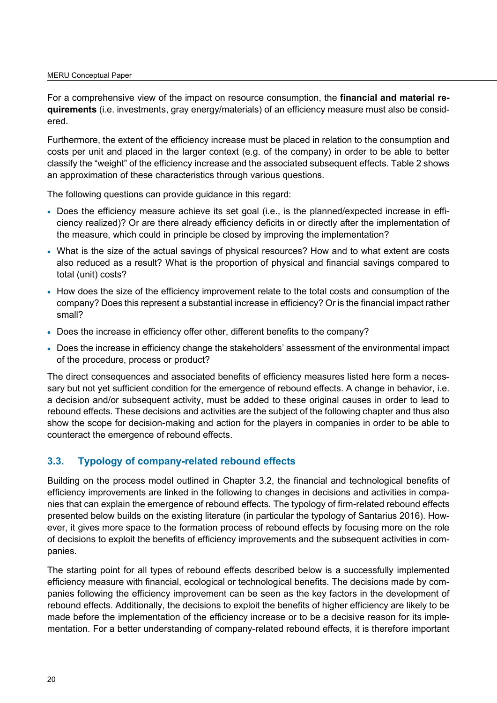For a comprehensive view of the impact on resource consumption, the **financial and material requirements** (i.e. investments, gray energy/materials) of an efficiency measure must also be considered.

Furthermore, the extent of the efficiency increase must be placed in relation to the consumption and costs per unit and placed in the larger context (e.g. of the company) in order to be able to better classify the "weight" of the efficiency increase and the associated subsequent effects. Table 2 shows an approximation of these characteristics through various questions.

The following questions can provide guidance in this regard:

- Does the efficiency measure achieve its set goal (i.e., is the planned/expected increase in efficiency realized)? Or are there already efficiency deficits in or directly after the implementation of the measure, which could in principle be closed by improving the implementation?
- What is the size of the actual savings of physical resources? How and to what extent are costs also reduced as a result? What is the proportion of physical and financial savings compared to total (unit) costs?
- How does the size of the efficiency improvement relate to the total costs and consumption of the company? Does this represent a substantial increase in efficiency? Or is the financial impact rather small?
- Does the increase in efficiency offer other, different benefits to the company?
- Does the increase in efficiency change the stakeholders' assessment of the environmental impact of the procedure, process or product?

The direct consequences and associated benefits of efficiency measures listed here form a necessary but not yet sufficient condition for the emergence of rebound effects. A change in behavior, i.e. a decision and/or subsequent activity, must be added to these original causes in order to lead to rebound effects. These decisions and activities are the subject of the following chapter and thus also show the scope for decision-making and action for the players in companies in order to be able to counteract the emergence of rebound effects.

## <span id="page-19-0"></span>**3.3. Typology of company-related rebound effects**

Building on the process model outlined in Chapter 3.2, the financial and technological benefits of efficiency improvements are linked in the following to changes in decisions and activities in companies that can explain the emergence of rebound effects. The typology of firm-related rebound effects presented below builds on the existing literature (in particular the typology of Santarius 2016). However, it gives more space to the formation process of rebound effects by focusing more on the role of decisions to exploit the benefits of efficiency improvements and the subsequent activities in companies.

The starting point for all types of rebound effects described below is a successfully implemented efficiency measure with financial, ecological or technological benefits. The decisions made by companies following the efficiency improvement can be seen as the key factors in the development of rebound effects. Additionally, the decisions to exploit the benefits of higher efficiency are likely to be made before the implementation of the efficiency increase or to be a decisive reason for its implementation. For a better understanding of company-related rebound effects, it is therefore important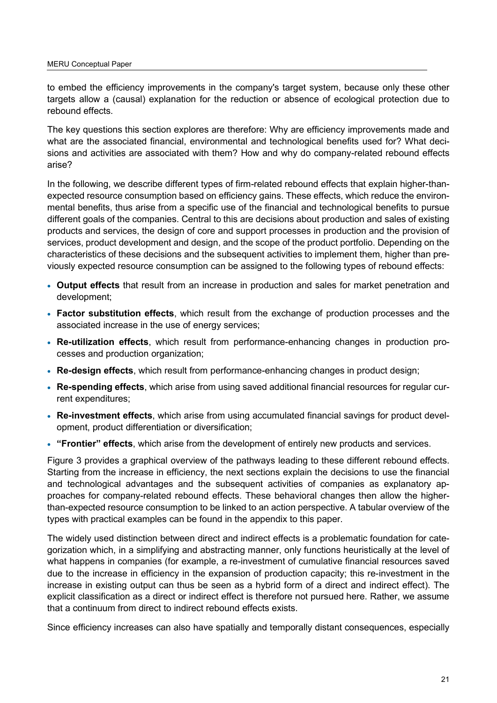to embed the efficiency improvements in the company's target system, because only these other targets allow a (causal) explanation for the reduction or absence of ecological protection due to rebound effects.

The key questions this section explores are therefore: Why are efficiency improvements made and what are the associated financial, environmental and technological benefits used for? What decisions and activities are associated with them? How and why do company-related rebound effects arise?

In the following, we describe different types of firm-related rebound effects that explain higher-thanexpected resource consumption based on efficiency gains. These effects, which reduce the environmental benefits, thus arise from a specific use of the financial and technological benefits to pursue different goals of the companies. Central to this are decisions about production and sales of existing products and services, the design of core and support processes in production and the provision of services, product development and design, and the scope of the product portfolio. Depending on the characteristics of these decisions and the subsequent activities to implement them, higher than previously expected resource consumption can be assigned to the following types of rebound effects:

- **Output effects** that result from an increase in production and sales for market penetration and development;
- **Factor substitution effects**, which result from the exchange of production processes and the associated increase in the use of energy services;
- **Re-utilization effects**, which result from performance-enhancing changes in production processes and production organization;
- **Re-design effects**, which result from performance-enhancing changes in product design;
- **Re-spending effects**, which arise from using saved additional financial resources for regular current expenditures;
- **Re-investment effects**, which arise from using accumulated financial savings for product development, product differentiation or diversification;
- **"Frontier" effects**, which arise from the development of entirely new products and services.

[Figure 3](#page-21-2) provides a graphical overview of the pathways leading to these different rebound effects. Starting from the increase in efficiency, the next sections explain the decisions to use the financial and technological advantages and the subsequent activities of companies as explanatory approaches for company-related rebound effects. These behavioral changes then allow the higherthan-expected resource consumption to be linked to an action perspective. A tabular overview of the types with practical examples can be found in the appendix to this paper.

The widely used distinction between direct and indirect effects is a problematic foundation for categorization which, in a simplifying and abstracting manner, only functions heuristically at the level of what happens in companies (for example, a re-investment of cumulative financial resources saved due to the increase in efficiency in the expansion of production capacity; this re-investment in the increase in existing output can thus be seen as a hybrid form of a direct and indirect effect). The explicit classification as a direct or indirect effect is therefore not pursued here. Rather, we assume that a continuum from direct to indirect rebound effects exists.

Since efficiency increases can also have spatially and temporally distant consequences, especially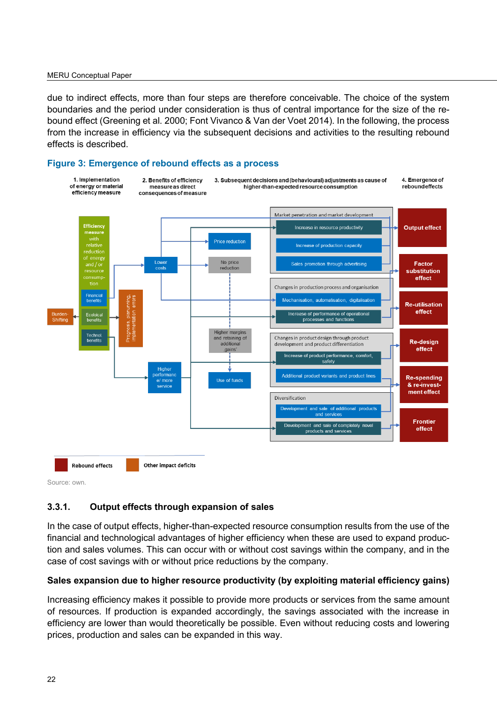#### MERU Conceptual Paper

due to indirect effects, more than four steps are therefore conceivable. The choice of the system boundaries and the period under consideration is thus of central importance for the size of the rebound effect (Greening et al. 2000; Font Vivanco & Van der Voet 2014). In the following, the process from the increase in efficiency via the subsequent decisions and activities to the resulting rebound effects is described.

#### <span id="page-21-2"></span><span id="page-21-1"></span>**Figure 3: Emergence of rebound effects as a process**



Source: own.

#### <span id="page-21-0"></span>**3.3.1. Output effects through expansion of sales**

In the case of output effects, higher-than-expected resource consumption results from the use of the financial and technological advantages of higher efficiency when these are used to expand production and sales volumes. This can occur with or without cost savings within the company, and in the case of cost savings with or without price reductions by the company.

#### **Sales expansion due to higher resource productivity (by exploiting material efficiency gains)**

Increasing efficiency makes it possible to provide more products or services from the same amount of resources. If production is expanded accordingly, the savings associated with the increase in efficiency are lower than would theoretically be possible. Even without reducing costs and lowering prices, production and sales can be expanded in this way.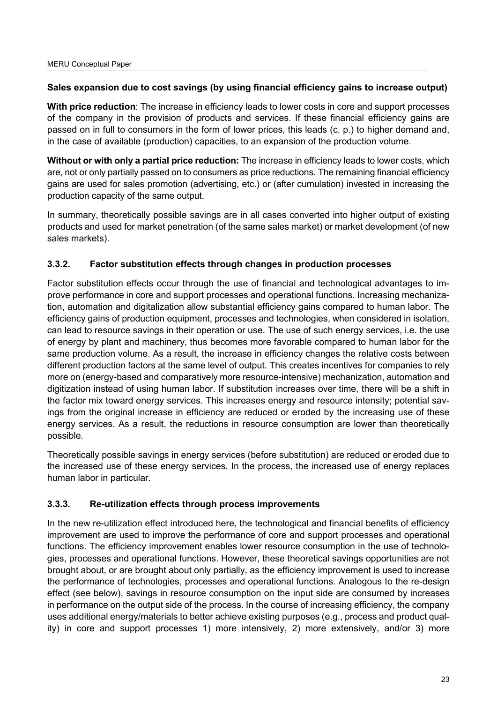#### **Sales expansion due to cost savings (by using financial efficiency gains to increase output)**

**With price reduction**: The increase in efficiency leads to lower costs in core and support processes of the company in the provision of products and services. If these financial efficiency gains are passed on in full to consumers in the form of lower prices, this leads (c. p.) to higher demand and, in the case of available (production) capacities, to an expansion of the production volume.

**Without or with only a partial price reduction:** The increase in efficiency leads to lower costs, which are, not or only partially passed on to consumers as price reductions. The remaining financial efficiency gains are used for sales promotion (advertising, etc.) or (after cumulation) invested in increasing the production capacity of the same output.

In summary, theoretically possible savings are in all cases converted into higher output of existing products and used for market penetration (of the same sales market) or market development (of new sales markets).

## <span id="page-22-0"></span>**3.3.2. Factor substitution effects through changes in production processes**

Factor substitution effects occur through the use of financial and technological advantages to improve performance in core and support processes and operational functions. Increasing mechanization, automation and digitalization allow substantial efficiency gains compared to human labor. The efficiency gains of production equipment, processes and technologies, when considered in isolation, can lead to resource savings in their operation or use. The use of such energy services, i.e. the use of energy by plant and machinery, thus becomes more favorable compared to human labor for the same production volume. As a result, the increase in efficiency changes the relative costs between different production factors at the same level of output. This creates incentives for companies to rely more on (energy-based and comparatively more resource-intensive) mechanization, automation and digitization instead of using human labor. If substitution increases over time, there will be a shift in the factor mix toward energy services. This increases energy and resource intensity; potential savings from the original increase in efficiency are reduced or eroded by the increasing use of these energy services. As a result, the reductions in resource consumption are lower than theoretically possible.

Theoretically possible savings in energy services (before substitution) are reduced or eroded due to the increased use of these energy services. In the process, the increased use of energy replaces human labor in particular.

## <span id="page-22-1"></span>**3.3.3. Re-utilization effects through process improvements**

In the new re-utilization effect introduced here, the technological and financial benefits of efficiency improvement are used to improve the performance of core and support processes and operational functions. The efficiency improvement enables lower resource consumption in the use of technologies, processes and operational functions. However, these theoretical savings opportunities are not brought about, or are brought about only partially, as the efficiency improvement is used to increase the performance of technologies, processes and operational functions. Analogous to the re-design effect (see below), savings in resource consumption on the input side are consumed by increases in performance on the output side of the process. In the course of increasing efficiency, the company uses additional energy/materials to better achieve existing purposes (e.g., process and product quality) in core and support processes 1) more intensively, 2) more extensively, and/or 3) more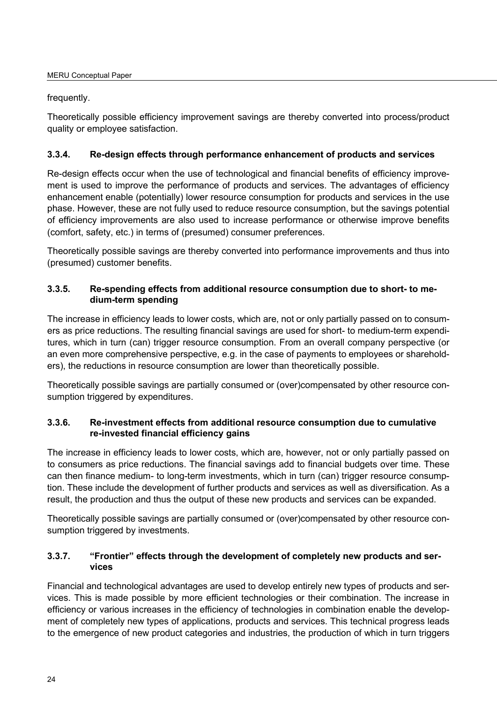#### frequently.

Theoretically possible efficiency improvement savings are thereby converted into process/product quality or employee satisfaction.

## <span id="page-23-0"></span>**3.3.4. Re-design effects through performance enhancement of products and services**

Re-design effects occur when the use of technological and financial benefits of efficiency improvement is used to improve the performance of products and services. The advantages of efficiency enhancement enable (potentially) lower resource consumption for products and services in the use phase. However, these are not fully used to reduce resource consumption, but the savings potential of efficiency improvements are also used to increase performance or otherwise improve benefits (comfort, safety, etc.) in terms of (presumed) consumer preferences.

Theoretically possible savings are thereby converted into performance improvements and thus into (presumed) customer benefits.

# <span id="page-23-1"></span>**3.3.5. Re-spending effects from additional resource consumption due to short- to medium-term spending**

The increase in efficiency leads to lower costs, which are, not or only partially passed on to consumers as price reductions. The resulting financial savings are used for short- to medium-term expenditures, which in turn (can) trigger resource consumption. From an overall company perspective (or an even more comprehensive perspective, e.g. in the case of payments to employees or shareholders), the reductions in resource consumption are lower than theoretically possible.

Theoretically possible savings are partially consumed or (over)compensated by other resource consumption triggered by expenditures.

## <span id="page-23-2"></span>**3.3.6. Re-investment effects from additional resource consumption due to cumulative re-invested financial efficiency gains**

The increase in efficiency leads to lower costs, which are, however, not or only partially passed on to consumers as price reductions. The financial savings add to financial budgets over time. These can then finance medium- to long-term investments, which in turn (can) trigger resource consumption. These include the development of further products and services as well as diversification. As a result, the production and thus the output of these new products and services can be expanded.

Theoretically possible savings are partially consumed or (over)compensated by other resource consumption triggered by investments.

#### <span id="page-23-3"></span>**3.3.7. "Frontier" effects through the development of completely new products and services**

Financial and technological advantages are used to develop entirely new types of products and services. This is made possible by more efficient technologies or their combination. The increase in efficiency or various increases in the efficiency of technologies in combination enable the development of completely new types of applications, products and services. This technical progress leads to the emergence of new product categories and industries, the production of which in turn triggers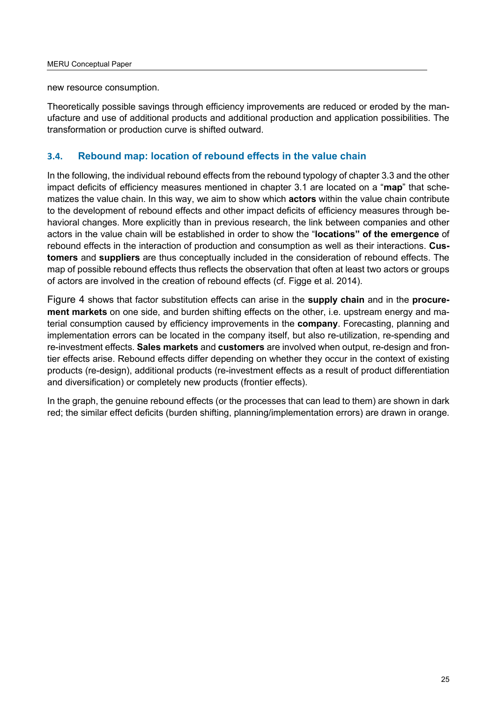new resource consumption.

Theoretically possible savings through efficiency improvements are reduced or eroded by the manufacture and use of additional products and additional production and application possibilities. The transformation or production curve is shifted outward.

## <span id="page-24-0"></span>**3.4. Rebound map: location of rebound effects in the value chain**

In the following, the individual rebound effects from the rebound typology of chapter 3.3 and the other impact deficits of efficiency measures mentioned in chapter 3.1 are located on a "**map**" that schematizes the value chain. In this way, we aim to show which **actors** within the value chain contribute to the development of rebound effects and other impact deficits of efficiency measures through behavioral changes. More explicitly than in previous research, the link between companies and other actors in the value chain will be established in order to show the "**locations" of the emergence** of rebound effects in the interaction of production and consumption as well as their interactions. **Customers** and **suppliers** are thus conceptually included in the consideration of rebound effects. The map of possible rebound effects thus reflects the observation that often at least two actors or groups of actors are involved in the creation of rebound effects (cf. Figge et al. 2014).

Figure 4 shows that factor substitution effects can arise in the **supply chain** and in the **procurement markets** on one side, and burden shifting effects on the other, i.e. upstream energy and material consumption caused by efficiency improvements in the **company**. Forecasting, planning and implementation errors can be located in the company itself, but also re-utilization, re-spending and re-investment effects. **Sales markets** and **customers** are involved when output, re-design and frontier effects arise. Rebound effects differ depending on whether they occur in the context of existing products (re-design), additional products (re-investment effects as a result of product differentiation and diversification) or completely new products (frontier effects).

In the graph, the genuine rebound effects (or the processes that can lead to them) are shown in dark red; the similar effect deficits (burden shifting, planning/implementation errors) are drawn in orange.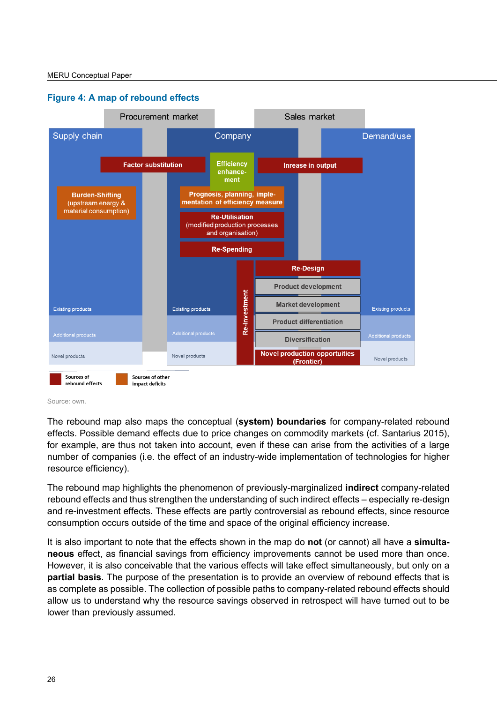

#### <span id="page-25-0"></span>**Figure 4: A map of rebound effects**



The rebound map also maps the conceptual (**system) boundaries** for company-related rebound effects. Possible demand effects due to price changes on commodity markets (cf. Santarius 2015), for example, are thus not taken into account, even if these can arise from the activities of a large number of companies (i.e. the effect of an industry-wide implementation of technologies for higher resource efficiency).

The rebound map highlights the phenomenon of previously-marginalized **indirect** company-related rebound effects and thus strengthen the understanding of such indirect effects – especially re-design and re-investment effects. These effects are partly controversial as rebound effects, since resource consumption occurs outside of the time and space of the original efficiency increase.

It is also important to note that the effects shown in the map do **not** (or cannot) all have a **simultaneous** effect, as financial savings from efficiency improvements cannot be used more than once. However, it is also conceivable that the various effects will take effect simultaneously, but only on a **partial basis**. The purpose of the presentation is to provide an overview of rebound effects that is as complete as possible. The collection of possible paths to company-related rebound effects should allow us to understand why the resource savings observed in retrospect will have turned out to be lower than previously assumed.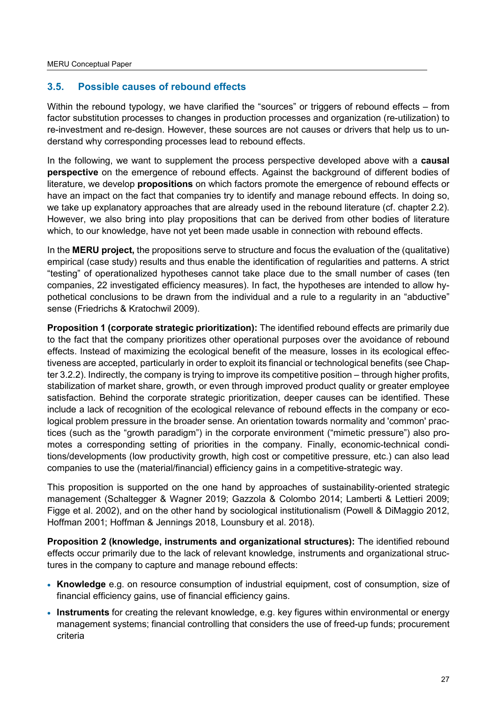# <span id="page-26-0"></span>**3.5. Possible causes of rebound effects**

Within the rebound typology, we have clarified the "sources" or triggers of rebound effects – from factor substitution processes to changes in production processes and organization (re-utilization) to re-investment and re-design. However, these sources are not causes or drivers that help us to understand why corresponding processes lead to rebound effects.

In the following, we want to supplement the process perspective developed above with a **causal perspective** on the emergence of rebound effects. Against the background of different bodies of literature, we develop **propositions** on which factors promote the emergence of rebound effects or have an impact on the fact that companies try to identify and manage rebound effects. In doing so, we take up explanatory approaches that are already used in the rebound literature (cf. chapter 2.2). However, we also bring into play propositions that can be derived from other bodies of literature which, to our knowledge, have not yet been made usable in connection with rebound effects.

In the **MERU project,** the propositions serve to structure and focus the evaluation of the (qualitative) empirical (case study) results and thus enable the identification of regularities and patterns. A strict "testing" of operationalized hypotheses cannot take place due to the small number of cases (ten companies, 22 investigated efficiency measures). In fact, the hypotheses are intended to allow hypothetical conclusions to be drawn from the individual and a rule to a regularity in an "abductive" sense (Friedrichs & Kratochwil 2009).

**Proposition 1 (corporate strategic prioritization):** The identified rebound effects are primarily due to the fact that the company prioritizes other operational purposes over the avoidance of rebound effects. Instead of maximizing the ecological benefit of the measure, losses in its ecological effectiveness are accepted, particularly in order to exploit its financial or technological benefits (see Chapter 3.2.2). Indirectly, the company is trying to improve its competitive position – through higher profits, stabilization of market share, growth, or even through improved product quality or greater employee satisfaction. Behind the corporate strategic prioritization, deeper causes can be identified. These include a lack of recognition of the ecological relevance of rebound effects in the company or ecological problem pressure in the broader sense. An orientation towards normality and 'common' practices (such as the "growth paradigm") in the corporate environment ("mimetic pressure") also promotes a corresponding setting of priorities in the company. Finally, economic-technical conditions/developments (low productivity growth, high cost or competitive pressure, etc.) can also lead companies to use the (material/financial) efficiency gains in a competitive-strategic way.

This proposition is supported on the one hand by approaches of sustainability-oriented strategic management (Schaltegger & Wagner 2019; Gazzola & Colombo 2014; Lamberti & Lettieri 2009; Figge et al. 2002), and on the other hand by sociological institutionalism (Powell & DiMaggio 2012, Hoffman 2001; Hoffman & Jennings 2018, Lounsbury et al. 2018).

**Proposition 2 (knowledge, instruments and organizational structures):** The identified rebound effects occur primarily due to the lack of relevant knowledge, instruments and organizational structures in the company to capture and manage rebound effects:

- **Knowledge** e.g. on resource consumption of industrial equipment, cost of consumption, size of financial efficiency gains, use of financial efficiency gains.
- **Instruments** for creating the relevant knowledge, e.g. key figures within environmental or energy management systems; financial controlling that considers the use of freed-up funds; procurement criteria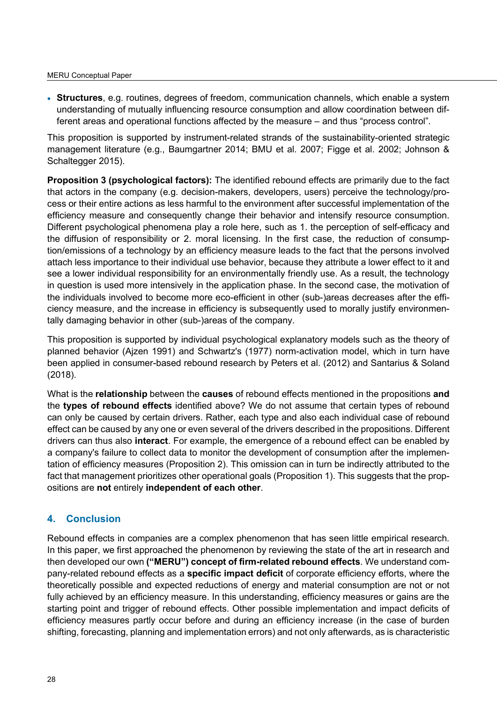• **Structures**, e.g. routines, degrees of freedom, communication channels, which enable a system understanding of mutually influencing resource consumption and allow coordination between different areas and operational functions affected by the measure – and thus "process control".

This proposition is supported by instrument-related strands of the sustainability-oriented strategic management literature (e.g., Baumgartner 2014; BMU et al. 2007; Figge et al. 2002; Johnson & Schaltegger 2015).

**Proposition 3 (psychological factors):** The identified rebound effects are primarily due to the fact that actors in the company (e.g. decision-makers, developers, users) perceive the technology/process or their entire actions as less harmful to the environment after successful implementation of the efficiency measure and consequently change their behavior and intensify resource consumption. Different psychological phenomena play a role here, such as 1. the perception of self-efficacy and the diffusion of responsibility or 2. moral licensing. In the first case, the reduction of consumption/emissions of a technology by an efficiency measure leads to the fact that the persons involved attach less importance to their individual use behavior, because they attribute a lower effect to it and see a lower individual responsibility for an environmentally friendly use. As a result, the technology in question is used more intensively in the application phase. In the second case, the motivation of the individuals involved to become more eco-efficient in other (sub-)areas decreases after the efficiency measure, and the increase in efficiency is subsequently used to morally justify environmentally damaging behavior in other (sub-)areas of the company.

This proposition is supported by individual psychological explanatory models such as the theory of planned behavior (Ajzen 1991) and Schwartz's (1977) norm-activation model, which in turn have been applied in consumer-based rebound research by Peters et al. (2012) and Santarius & Soland (2018).

What is the **relationship** between the **causes** of rebound effects mentioned in the propositions **and** the **types of rebound effects** identified above? We do not assume that certain types of rebound can only be caused by certain drivers. Rather, each type and also each individual case of rebound effect can be caused by any one or even several of the drivers described in the propositions. Different drivers can thus also **interact**. For example, the emergence of a rebound effect can be enabled by a company's failure to collect data to monitor the development of consumption after the implementation of efficiency measures (Proposition 2). This omission can in turn be indirectly attributed to the fact that management prioritizes other operational goals (Proposition 1). This suggests that the propositions are **not** entirely **independent of each other**.

# <span id="page-27-0"></span>**4. Conclusion**

Rebound effects in companies are a complex phenomenon that has seen little empirical research. In this paper, we first approached the phenomenon by reviewing the state of the art in research and then developed our own **("MERU") concept of firm-related rebound effects**. We understand company-related rebound effects as a **specific impact deficit** of corporate efficiency efforts, where the theoretically possible and expected reductions of energy and material consumption are not or not fully achieved by an efficiency measure. In this understanding, efficiency measures or gains are the starting point and trigger of rebound effects. Other possible implementation and impact deficits of efficiency measures partly occur before and during an efficiency increase (in the case of burden shifting, forecasting, planning and implementation errors) and not only afterwards, as is characteristic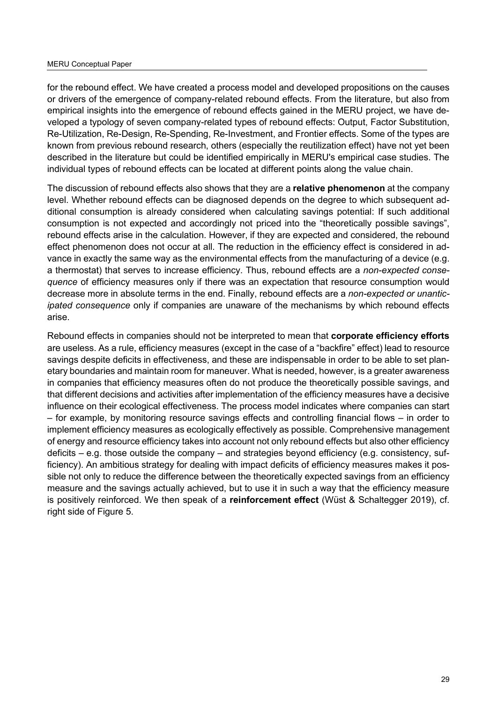#### MERU Conceptual Paper

for the rebound effect. We have created a process model and developed propositions on the causes or drivers of the emergence of company-related rebound effects. From the literature, but also from empirical insights into the emergence of rebound effects gained in the MERU project, we have developed a typology of seven company-related types of rebound effects: Output, Factor Substitution, Re-Utilization, Re-Design, Re-Spending, Re-Investment, and Frontier effects. Some of the types are known from previous rebound research, others (especially the reutilization effect) have not yet been described in the literature but could be identified empirically in MERU's empirical case studies. The individual types of rebound effects can be located at different points along the value chain.

The discussion of rebound effects also shows that they are a **relative phenomenon** at the company level. Whether rebound effects can be diagnosed depends on the degree to which subsequent additional consumption is already considered when calculating savings potential: If such additional consumption is not expected and accordingly not priced into the "theoretically possible savings", rebound effects arise in the calculation. However, if they are expected and considered, the rebound effect phenomenon does not occur at all. The reduction in the efficiency effect is considered in advance in exactly the same way as the environmental effects from the manufacturing of a device (e.g. a thermostat) that serves to increase efficiency. Thus, rebound effects are a *non-expected consequence* of efficiency measures only if there was an expectation that resource consumption would decrease more in absolute terms in the end. Finally, rebound effects are a *non-expected or unanticipated consequence* only if companies are unaware of the mechanisms by which rebound effects arise.

Rebound effects in companies should not be interpreted to mean that **corporate efficiency efforts** are useless. As a rule, efficiency measures (except in the case of a "backfire" effect) lead to resource savings despite deficits in effectiveness, and these are indispensable in order to be able to set planetary boundaries and maintain room for maneuver. What is needed, however, is a greater awareness in companies that efficiency measures often do not produce the theoretically possible savings, and that different decisions and activities after implementation of the efficiency measures have a decisive influence on their ecological effectiveness. The process model indicates where companies can start – for example, by monitoring resource savings effects and controlling financial flows – in order to implement efficiency measures as ecologically effectively as possible. Comprehensive management of energy and resource efficiency takes into account not only rebound effects but also other efficiency deficits – e.g. those outside the company – and strategies beyond efficiency (e.g. consistency, sufficiency). An ambitious strategy for dealing with impact deficits of efficiency measures makes it possible not only to reduce the difference between the theoretically expected savings from an efficiency measure and the savings actually achieved, but to use it in such a way that the efficiency measure is positively reinforced. We then speak of a **reinforcement effect** (Wüst & Schaltegger 2019), cf. right side of Figure 5.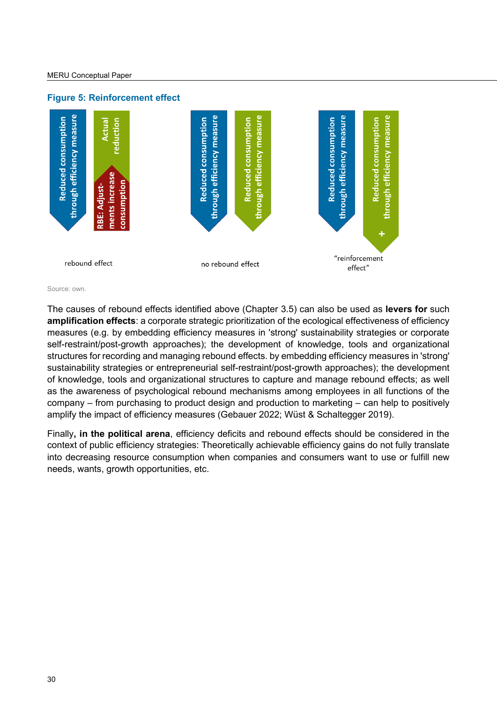<span id="page-29-0"></span>

Source: own.

The causes of rebound effects identified above (Chapter 3.5) can also be used as **levers for** such **amplification effects**: a corporate strategic prioritization of the ecological effectiveness of efficiency measures (e.g. by embedding efficiency measures in 'strong' sustainability strategies or corporate self-restraint/post-growth approaches); the development of knowledge, tools and organizational structures for recording and managing rebound effects. by embedding efficiency measures in 'strong' sustainability strategies or entrepreneurial self-restraint/post-growth approaches); the development of knowledge, tools and organizational structures to capture and manage rebound effects; as well as the awareness of psychological rebound mechanisms among employees in all functions of the company – from purchasing to product design and production to marketing – can help to positively amplify the impact of efficiency measures (Gebauer 2022; Wüst & Schaltegger 2019).

Finally**, in the political arena**, efficiency deficits and rebound effects should be considered in the context of public efficiency strategies: Theoretically achievable efficiency gains do not fully translate into decreasing resource consumption when companies and consumers want to use or fulfill new needs, wants, growth opportunities, etc.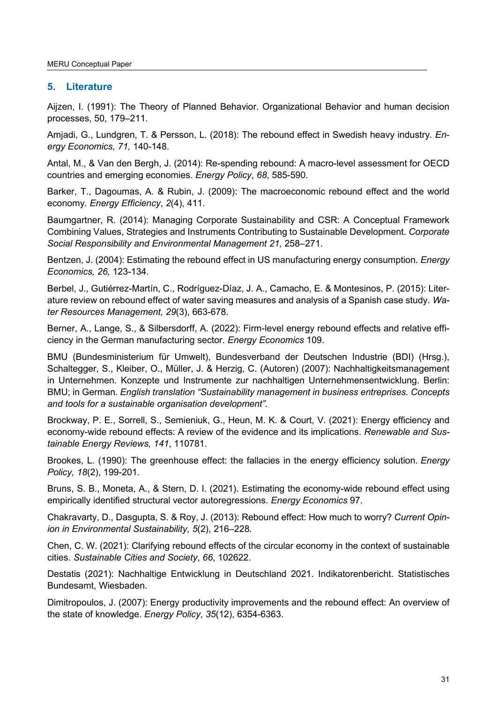# <span id="page-30-0"></span>**5. Literature**

Aijzen, I. (1991): The Theory of Planned Behavior. Organizational Behavior and human decision processes, 50, 179–211.

Amjadi, G., Lundgren, T. & Persson, L. (2018): The rebound effect in Swedish heavy industry. *Energy Economics, 71,* 140-148.

Antal, M., & Van den Bergh, J. (2014): Re-spending rebound: A macro-level assessment for OECD countries and emerging economies. *Energy Policy*, *68*, 585-590.

Barker, T., Dagoumas, A. & Rubin, J. (2009): The macroeconomic rebound effect and the world economy. *Energy Efficiency*, *2*(4), 411.

Baumgartner, R. (2014): Managing Corporate Sustainability and CSR: A Conceptual Framework Combining Values, Strategies and Instruments Contributing to Sustainable Development. *Corporate Social Responsibility and Environmental Management 21,* 258–271.

Bentzen, J. (2004): Estimating the rebound effect in US manufacturing energy consumption. *Energy Economics, 26,* 123-134.

Berbel, J., Gutiérrez-Martín, C., Rodríguez-Díaz, J. A., Camacho, E. & Montesinos, P. (2015): Literature review on rebound effect of water saving measures and analysis of a Spanish case study. *Water Resources Management, 29*(3), 663-678.

Berner, A., Lange, S., & Silbersdorff, A. (2022): Firm-level energy rebound effects and relative efficiency in the German manufacturing sector. *Energy Economics* 109.

BMU (Bundesministerium für Umwelt), Bundesverband der Deutschen Industrie (BDI) (Hrsg.), Schaltegger, S., Kleiber, O., Müller, J. & Herzig, C. (Autoren) (2007): Nachhaltigkeitsmanagement in Unternehmen. Konzepte und Instrumente zur nachhaltigen Unternehmensentwicklung. Berlin: BMU; in German. *English translation "Sustainability management in business entreprises. Concepts and tools for a sustainable organisation development".*

Brockway, P. E., Sorrell, S., Semieniuk, G., Heun, M. K. & Court, V. (2021): Energy efficiency and economy-wide rebound effects: A review of the evidence and its implications. *Renewable and Sustainable Energy Reviews*, *141*, 110781.

Brookes, L. (1990): The greenhouse effect: the fallacies in the energy efficiency solution. *Energy Policy, 18*(2), 199-201.

Bruns, S. B., Moneta, A., & Stern, D. I. (2021). Estimating the economy-wide rebound effect using empirically identified structural vector autoregressions. *Energy Economics* 97.

Chakravarty, D., Dasgupta, S. & Roy, J. (2013): Rebound effect: How much to worry? *Current Opinion in Environmental Sustainability, 5*(2), 216–228.

Chen, C. W. (2021): Clarifying rebound effects of the circular economy in the context of sustainable cities. *Sustainable Cities and Society*, *66*, 102622.

Destatis (2021): Nachhaltige Entwicklung in Deutschland 2021. Indikatorenbericht. Statistisches Bundesamt, Wiesbaden.

Dimitropoulos, J. (2007): Energy productivity improvements and the rebound effect: An overview of the state of knowledge. *Energy Policy*, *35*(12), 6354-6363.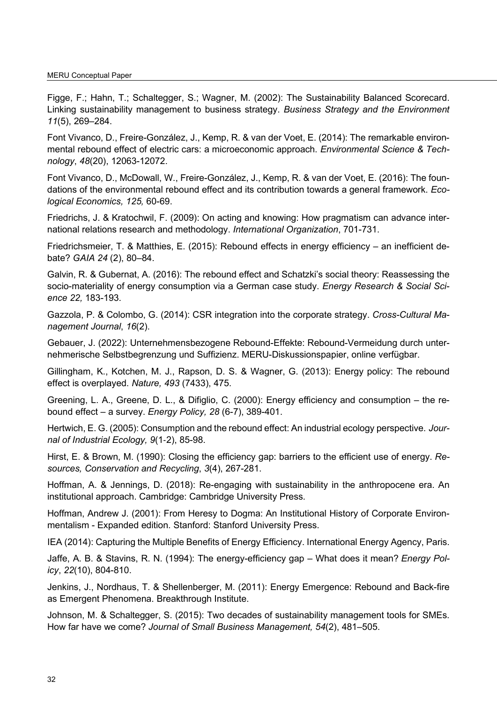Figge, F.; Hahn, T.; Schaltegger, S.; Wagner, M. (2002): The Sustainability Balanced Scorecard. Linking sustainability management to business strategy. *Business Strategy and the Environment 11*(5), 269–284.

Font Vivanco, D., Freire-González, J., Kemp, R. & van der Voet, E. (2014): The remarkable environmental rebound effect of electric cars: a microeconomic approach. *Environmental Science & Technology*, *48*(20), 12063-12072.

Font Vivanco, D., McDowall, W., Freire-González, J., Kemp, R. & van der Voet, E. (2016): The foundations of the environmental rebound effect and its contribution towards a general framework. *Ecological Economics, 125,* 60-69.

Friedrichs, J. & Kratochwil, F. (2009): On acting and knowing: How pragmatism can advance international relations research and methodology. *International Organization*, 701-731.

Friedrichsmeier, T. & Matthies, E. (2015): Rebound effects in energy efficiency – an inefficient debate? *GAIA 24* (2), 80–84.

Galvin, R. & Gubernat, A. (2016): The rebound effect and Schatzki's social theory: Reassessing the socio-materiality of energy consumption via a German case study. *Energy Research & Social Science 22,* 183-193.

Gazzola, P. & Colombo, G. (2014): CSR integration into the corporate strategy. *Cross-Cultural Management Journal*, *16*(2).

Gebauer, J. (2022): Unternehmensbezogene Rebound-Effekte: Rebound-Vermeidung durch unternehmerische Selbstbegrenzung und Suffizienz. MERU-Diskussionspapier, online verfügbar.

Gillingham, K., Kotchen, M. J., Rapson, D. S. & Wagner, G. (2013): Energy policy: The rebound effect is overplayed. *Nature, 493* (7433), 475.

Greening, L. A., Greene, D. L., & Difiglio, C. (2000): Energy efficiency and consumption – the rebound effect – a survey. *Energy Policy, 28* (6-7), 389-401.

Hertwich, E. G. (2005): Consumption and the rebound effect: An industrial ecology perspective. *Journal of Industrial Ecology, 9*(1‐2), 85-98.

Hirst, E. & Brown, M. (1990): Closing the efficiency gap: barriers to the efficient use of energy. *Resources, Conservation and Recycling*, *3*(4), 267-281.

Hoffman, A. & Jennings, D. (2018): Re-engaging with sustainability in the anthropocene era. An institutional approach. Cambridge: Cambridge University Press.

Hoffman, Andrew J. (2001): From Heresy to Dogma: An Institutional History of Corporate Environmentalism - Expanded edition. Stanford: Stanford University Press.

IEA (2014): Capturing the Multiple Benefits of Energy Efficiency. International Energy Agency, Paris.

Jaffe, A. B. & Stavins, R. N. (1994): The energy-efficiency gap – What does it mean? *Energy Policy*, *22*(10), 804-810.

Jenkins, J., Nordhaus, T. & Shellenberger, M. (2011): Energy Emergence: Rebound and Back-fire as Emergent Phenomena. Breakthrough Institute.

Johnson, M. & Schaltegger, S. (2015): Two decades of sustainability management tools for SMEs. How far have we come? *Journal of Small Business Management, 54*(2), 481–505.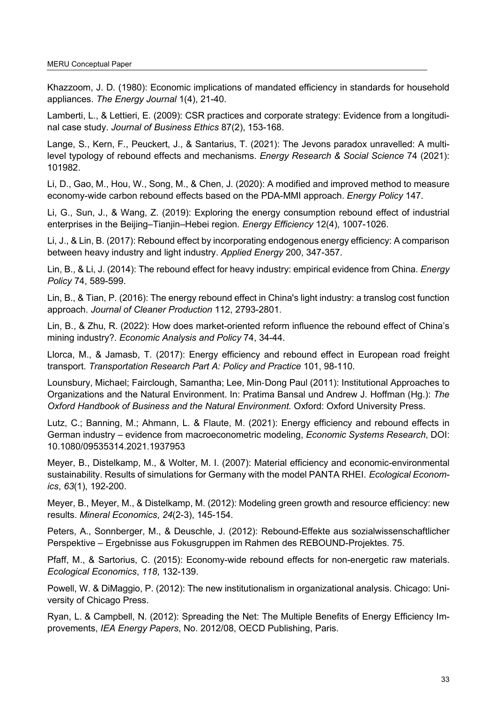Khazzoom, J. D. (1980): Economic implications of mandated efficiency in standards for household appliances. *The Energy Journal* 1(4), 21-40.

Lamberti, L., & Lettieri, E. (2009): CSR practices and corporate strategy: Evidence from a longitudinal case study. *Journal of Business Ethics* 87(2), 153-168.

Lange, S., Kern, F., Peuckert, J., & Santarius, T. (2021): The Jevons paradox unravelled: A multilevel typology of rebound effects and mechanisms. *Energy Research & Social Science* 74 (2021): 101982.

Li, D., Gao, M., Hou, W., Song, M., & Chen, J. (2020): A modified and improved method to measure economy-wide carbon rebound effects based on the PDA-MMI approach. *Energy Policy* 147.

Li, G., Sun, J., & Wang, Z. (2019): Exploring the energy consumption rebound effect of industrial enterprises in the Beijing–Tianjin–Hebei region*. Energy Efficiency* 12(4), 1007-1026.

Li, J., & Lin, B. (2017): Rebound effect by incorporating endogenous energy efficiency: A comparison between heavy industry and light industry. *Applied Energy* 200, 347-357.

Lin, B., & Li, J. (2014): The rebound effect for heavy industry: empirical evidence from China. *Energy Policy* 74, 589-599.

Lin, B., & Tian, P. (2016): The energy rebound effect in China's light industry: a translog cost function approach. *Journal of Cleaner Production* 112, 2793-2801.

Lin, B., & Zhu, R. (2022): How does market-oriented reform influence the rebound effect of China's mining industry?. *Economic Analysis and Policy* 74, 34-44.

Llorca, M., & Jamasb, T. (2017): Energy efficiency and rebound effect in European road freight transport. *Transportation Research Part A: Policy and Practice* 101, 98-110.

Lounsbury, Michael; Fairclough, Samantha; Lee, Min‐Dong Paul (2011): Institutional Approaches to Organizations and the Natural Environment. In: Pratima Bansal und Andrew J. Hoffman (Hg.): *The Oxford Handbook of Business and the Natural Environment.* Oxford: Oxford University Press.

Lutz, C.; Banning, M.; Ahmann, L. & Flaute, M. (2021): Energy efficiency and rebound effects in German industry – evidence from macroeconometric modeling, *Economic Systems Research*, DOI: 10.1080/09535314.2021.1937953

Meyer, B., Distelkamp, M., & Wolter, M. I. (2007): Material efficiency and economic-environmental sustainability. Results of simulations for Germany with the model PANTA RHEI. *Ecological Economics*, *63*(1), 192-200.

Meyer, B., Meyer, M., & Distelkamp, M. (2012): Modeling green growth and resource efficiency: new results. *Mineral Economics*, *24*(2-3), 145-154.

Peters, A., Sonnberger, M., & Deuschle, J. (2012): Rebound-Effekte aus sozialwissenschaftlicher Perspektive – Ergebnisse aus Fokusgruppen im Rahmen des REBOUND-Projektes. 75.

Pfaff, M., & Sartorius, C. (2015): Economy-wide rebound effects for non-energetic raw materials. *Ecological Economics*, *118*, 132-139.

Powell, W. & DiMaggio, P. (2012): The new institutionalism in organizational analysis. Chicago: University of Chicago Press.

Ryan, L. & Campbell, N. (2012): Spreading the Net: The Multiple Benefits of Energy Efficiency Improvements, *IEA Energy Papers*, No. 2012/08, OECD Publishing, Paris.